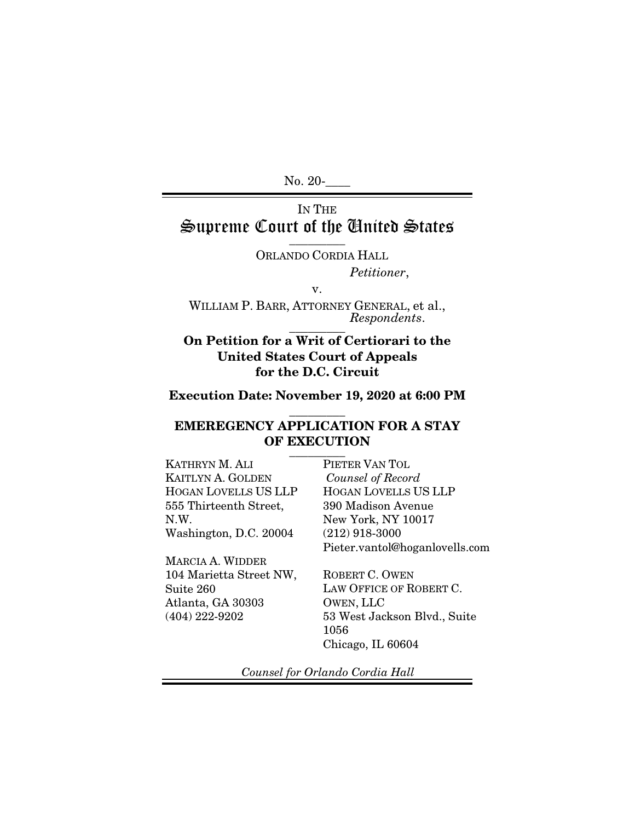No. 20-

## IN THE Supreme Court of the United States  $\frac{1}{\sqrt{2}}$

ORLANDO CORDIA HALL *Petitioner*,

WILLIAM P. BARR, ATTORNEY GENERAL, et al., *Respondents*.  $\overline{\phantom{a}}$  . The set of  $\overline{\phantom{a}}$ 

v.

## On Petition for a Writ of Certiorari to the United States Court of Appeals for the D.C. Circuit

## Execution Date: November 19, 2020 at 6:00 PM  $\overline{\phantom{a}}$  , where  $\overline{\phantom{a}}$

#### EMEREGENCY APPLICATION FOR A STAY OF EXECUTION  $\overline{\phantom{a}}$  . The set of  $\overline{\phantom{a}}$

KATHRYN M. ALI KAITLYN A. GOLDEN HOGAN LOVELLS US LLP 555 Thirteenth Street, N.W. Washington, D.C. 20004

MARCIA A. WIDDER 104 Marietta Street NW, Suite 260 Atlanta, GA 30303 (404) 222-9202

PIETER VAN TOL  *Counsel of Record*  HOGAN LOVELLS US LLP 390 Madison Avenue New York, NY 10017 (212) 918-3000 Pieter.vantol@hoganlovells.com

ROBERT C. OWEN LAW OFFICE OF ROBERT C. OWEN, LLC 53 West Jackson Blvd., Suite 1056 Chicago, IL 60604

*Counsel for Orlando Cordia Hall*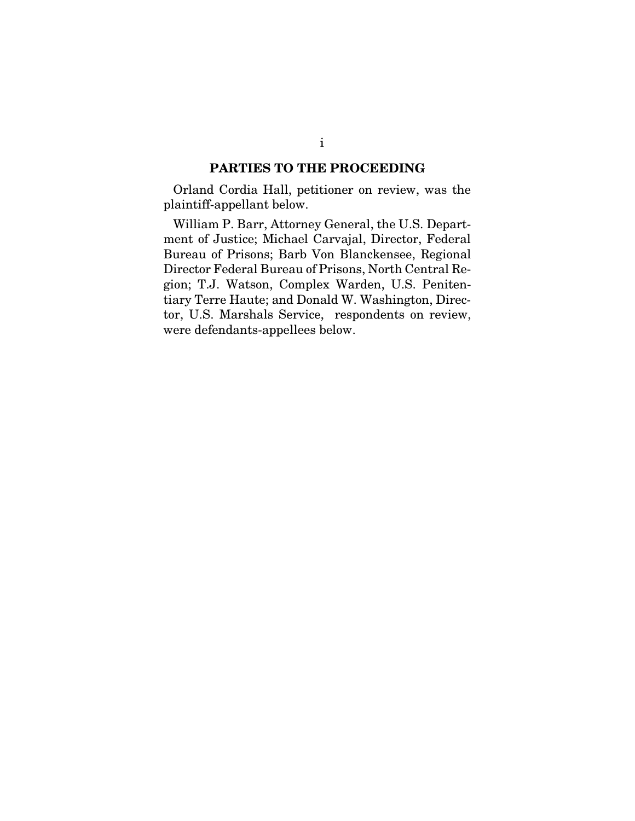#### PARTIES TO THE PROCEEDING

Orland Cordia Hall, petitioner on review, was the plaintiff-appellant below.

William P. Barr, Attorney General, the U.S. Department of Justice; Michael Carvajal, Director, Federal Bureau of Prisons; Barb Von Blanckensee, Regional Director Federal Bureau of Prisons, North Central Region; T.J. Watson, Complex Warden, U.S. Penitentiary Terre Haute; and Donald W. Washington, Director, U.S. Marshals Service, respondents on review, were defendants-appellees below.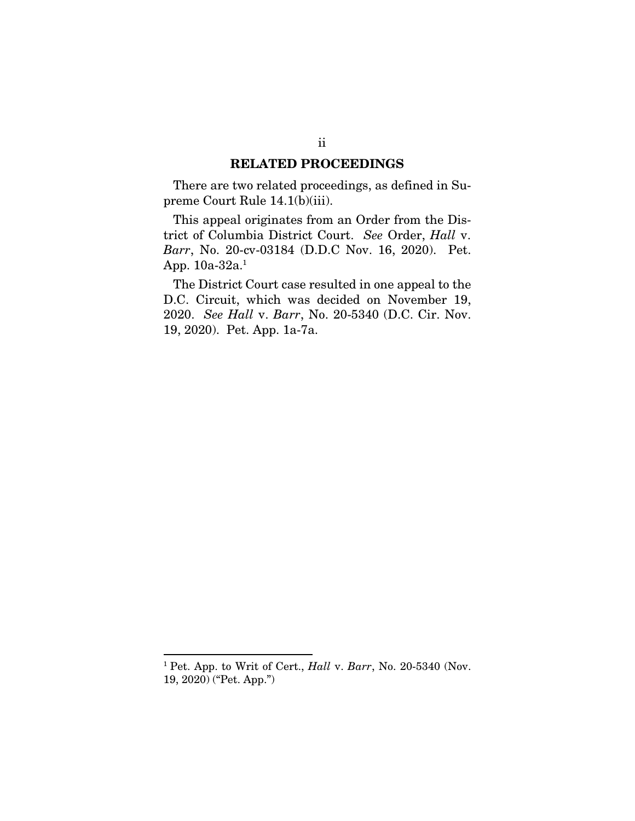#### RELATED PROCEEDINGS

There are two related proceedings, as defined in Supreme Court Rule 14.1(b)(iii).

This appeal originates from an Order from the District of Columbia District Court. *See* Order, *Hall* v. *Barr*, No. 20-cv-03184 (D.D.C Nov. 16, 2020). Pet. App. 10a-32a.<sup>1</sup>

The District Court case resulted in one appeal to the D.C. Circuit, which was decided on November 19, 2020. *See Hall* v. *Barr*, No. 20-5340 (D.C. Cir. Nov. 19, 2020). Pet. App. 1a-7a.

<sup>1</sup> Pet. App. to Writ of Cert., *Hall* v. *Barr*, No. 20-5340 (Nov. 19, 2020) ("Pet. App.")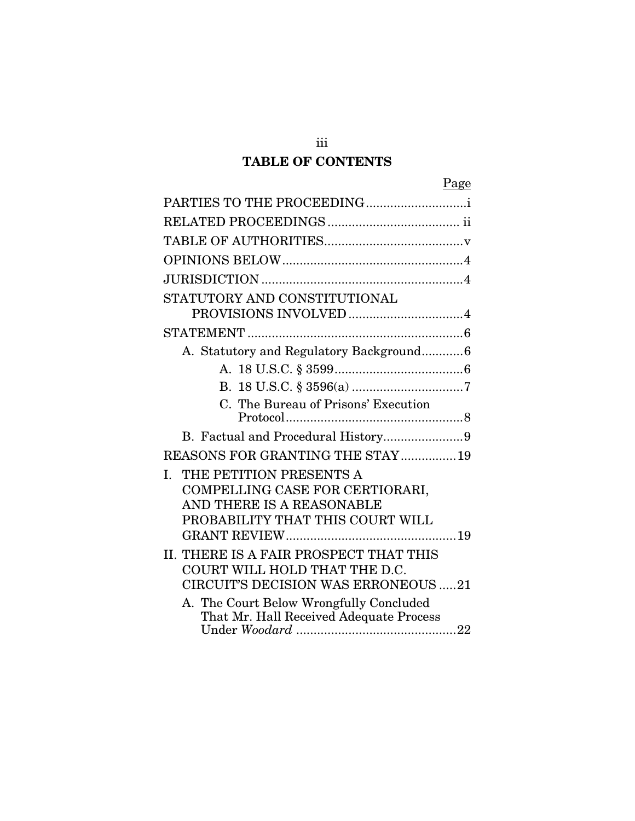# TABLE OF CONTENTS

iii

|--|

| PARTIES TO THE PROCEEDING                                               |
|-------------------------------------------------------------------------|
|                                                                         |
|                                                                         |
|                                                                         |
|                                                                         |
| STATUTORY AND CONSTITUTIONAL                                            |
|                                                                         |
| A. Statutory and Regulatory Background6                                 |
|                                                                         |
|                                                                         |
| C. The Bureau of Prisons' Execution                                     |
|                                                                         |
| <b>REASONS FOR GRANTING THE STAY  19</b>                                |
| THE PETITION PRESENTS A<br>Ι.                                           |
| COMPELLING CASE FOR CERTIORARI,                                         |
| AND THERE IS A REASONABLE                                               |
| PROBABILITY THAT THIS COURT WILL                                        |
|                                                                         |
| II. THERE IS A FAIR PROSPECT THAT THIS<br>COURT WILL HOLD THAT THE D.C. |
| <b>CIRCUIT'S DECISION WAS ERRONEOUS 21</b>                              |
| A. The Court Below Wrongfully Concluded                                 |
| That Mr. Hall Received Adequate Process                                 |
|                                                                         |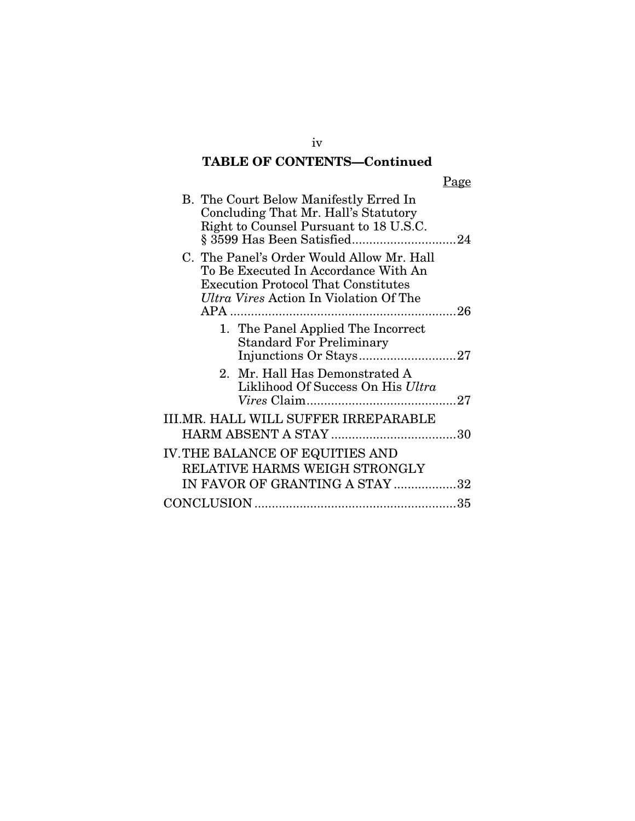# TABLE OF CONTENTS—Continued

|--|

| B. The Court Below Manifestly Erred In<br>Concluding That Mr. Hall's Statutory<br>Right to Counsel Pursuant to 18 U.S.C.                                                         |  |
|----------------------------------------------------------------------------------------------------------------------------------------------------------------------------------|--|
| C. The Panel's Order Would Allow Mr. Hall<br>To Be Executed In Accordance With An<br><b>Execution Protocol That Constitutes</b><br><i>Ultra Vires</i> Action In Violation Of The |  |
| APA ……………………………………………………………26                                                                                                                                                    |  |
| 1. The Panel Applied The Incorrect<br><b>Standard For Preliminary</b>                                                                                                            |  |
| 2. Mr. Hall Has Demonstrated A<br>Liklihood Of Success On His Ultra                                                                                                              |  |
| III.MR. HALL WILL SUFFER IRREPARABLE                                                                                                                                             |  |
| IV. THE BALANCE OF EQUITIES AND<br>RELATIVE HARMS WEIGH STRONGLY                                                                                                                 |  |
| IN FAVOR OF GRANTING A STAY 32                                                                                                                                                   |  |
|                                                                                                                                                                                  |  |

iv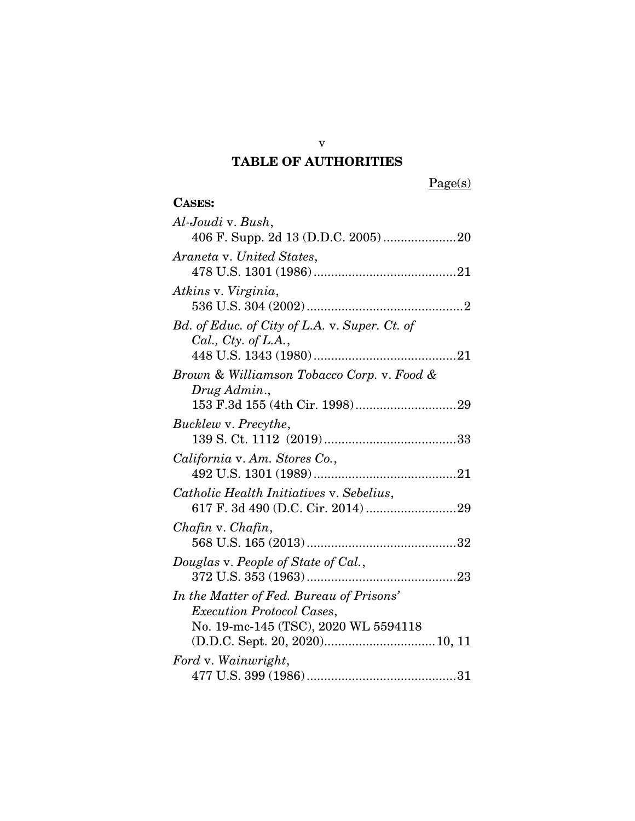# TABLE OF AUTHORITIES

Page(s)

# CASES:

| Al-Joudi v. Bush,                             |
|-----------------------------------------------|
|                                               |
| Araneta v. United States,                     |
|                                               |
| Atkins v. Virginia,                           |
|                                               |
| Bd. of Educ. of City of L.A. v. Super. Ct. of |
| Cal., Cty. of L.A.,                           |
|                                               |
| Brown & Williamson Tobacco Corp. v. Food &    |
| Drug Admin.,                                  |
|                                               |
|                                               |
| Bucklew v. Precythe,                          |
|                                               |
| California v. Am. Stores Co.,                 |
|                                               |
|                                               |
| Catholic Health Initiatives v. Sebelius,      |
|                                               |
| Chafin v. Chafin,                             |
|                                               |
|                                               |
| Douglas v. People of State of Cal.,           |
|                                               |
| In the Matter of Fed. Bureau of Prisons'      |
| <i>Execution Protocol Cases,</i>              |
| No. 19-mc-145 (TSC), 2020 WL 5594118          |
|                                               |
|                                               |
| Ford v. Wainwright,                           |
|                                               |

v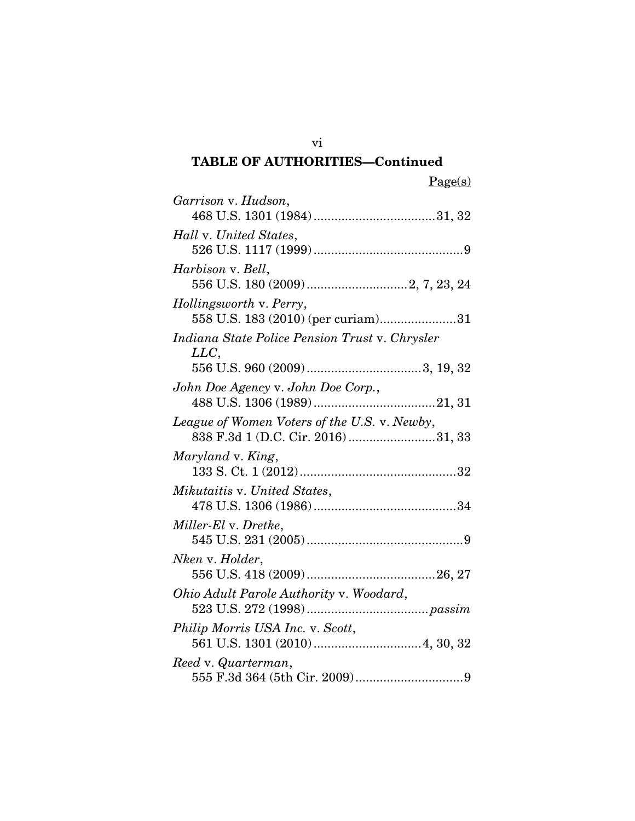## TABLE OF AUTHORITIES—Continued

| Garrison v. Hudson,                                                                |
|------------------------------------------------------------------------------------|
| Hall v. United States,                                                             |
|                                                                                    |
| <i>Harbison v. Bell,</i>                                                           |
| Hollingsworth v. Perry,                                                            |
| 558 U.S. 183 (2010) (per curiam)31                                                 |
| Indiana State Police Pension Trust v. Chrysler<br>LLC,                             |
|                                                                                    |
| John Doe Agency v. John Doe Corp.,                                                 |
| League of Women Voters of the U.S. v. Newby,<br>838 F.3d 1 (D.C. Cir. 2016) 31, 33 |
| Maryland v. King,                                                                  |
| Mikutaitis v. United States,                                                       |
| Miller-El v. Dretke,                                                               |
| Nken v. Holder,                                                                    |
| Ohio Adult Parole Authority v. Woodard,                                            |
| Philip Morris USA Inc. v. Scott,                                                   |
| Reed v. Quarterman,                                                                |

vi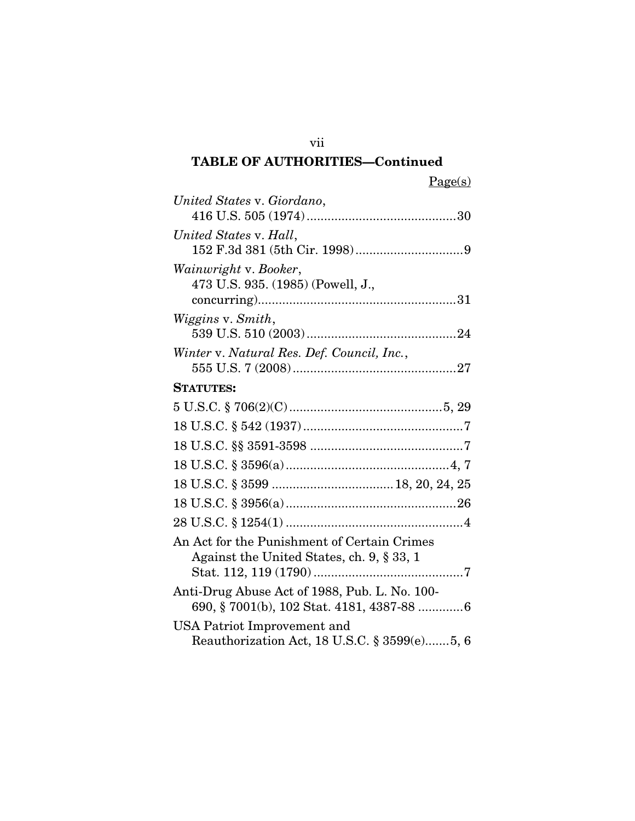## TABLE OF AUTHORITIES—Continued

| r. |  |
|----|--|
|    |  |

| United States v. Giordano,                                                               |
|------------------------------------------------------------------------------------------|
| United States v. Hall,                                                                   |
| Wainwright v. Booker,<br>473 U.S. 935. (1985) (Powell, J.,                               |
| Wiggins v. Smith,                                                                        |
| Winter v. Natural Res. Def. Council, Inc.,                                               |
| <b>STATUTES:</b>                                                                         |
|                                                                                          |
|                                                                                          |
|                                                                                          |
|                                                                                          |
|                                                                                          |
|                                                                                          |
|                                                                                          |
| An Act for the Punishment of Certain Crimes<br>Against the United States, ch. 9, § 33, 1 |
| Anti-Drug Abuse Act of 1988, Pub. L. No. 100-                                            |
| USA Patriot Improvement and                                                              |
| Reauthorization Act, 18 U.S.C. § 3599(e)5, 6                                             |

vii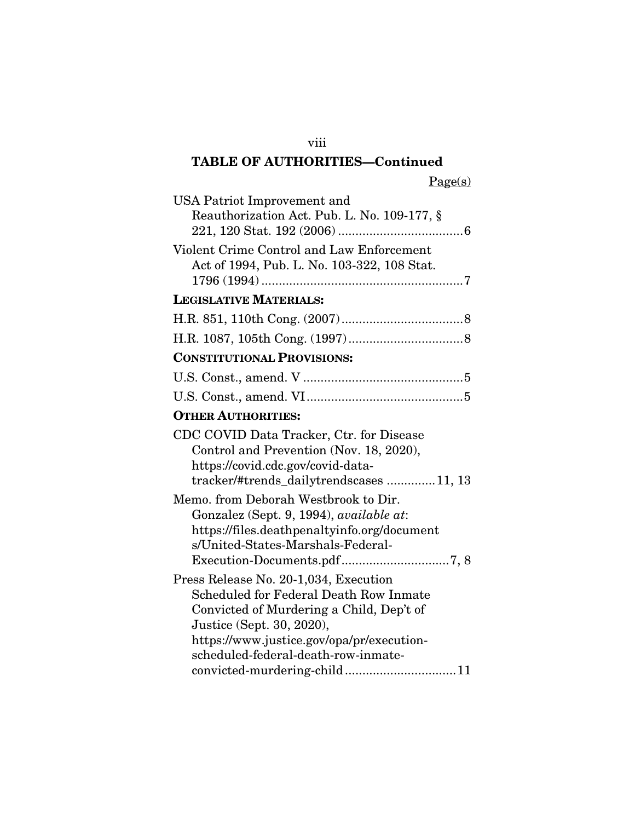## TABLE OF AUTHORITIES—Continued

Page(s)

| USA Patriot Improvement and<br>Reauthorization Act. Pub. L. No. 109-177, §                                                                                                                                                                                                         |
|------------------------------------------------------------------------------------------------------------------------------------------------------------------------------------------------------------------------------------------------------------------------------------|
|                                                                                                                                                                                                                                                                                    |
| Violent Crime Control and Law Enforcement<br>Act of 1994, Pub. L. No. 103-322, 108 Stat.                                                                                                                                                                                           |
| <b>LEGISLATIVE MATERIALS:</b>                                                                                                                                                                                                                                                      |
|                                                                                                                                                                                                                                                                                    |
|                                                                                                                                                                                                                                                                                    |
| <b>CONSTITUTIONAL PROVISIONS:</b>                                                                                                                                                                                                                                                  |
|                                                                                                                                                                                                                                                                                    |
|                                                                                                                                                                                                                                                                                    |
| <b>OTHER AUTHORITIES:</b>                                                                                                                                                                                                                                                          |
| CDC COVID Data Tracker, Ctr. for Disease<br>Control and Prevention (Nov. 18, 2020),<br>https://covid.cdc.gov/covid-data-<br>tracker/#trends_dailytrendscases 11, 13                                                                                                                |
| Memo, from Deborah Westbrook to Dir.<br>Gonzalez (Sept. 9, 1994), available at:<br>https://files.deathpenaltyinfo.org/document<br>s/United-States-Marshals-Federal-                                                                                                                |
| Press Release No. 20-1,034, Execution<br><b>Scheduled for Federal Death Row Inmate</b><br>Convicted of Murdering a Child, Dep't of<br>Justice (Sept. 30, 2020),<br>https://www.justice.gov/opa/pr/execution-<br>scheduled-federal-death-row-inmate-<br>convicted-murdering-child11 |

viii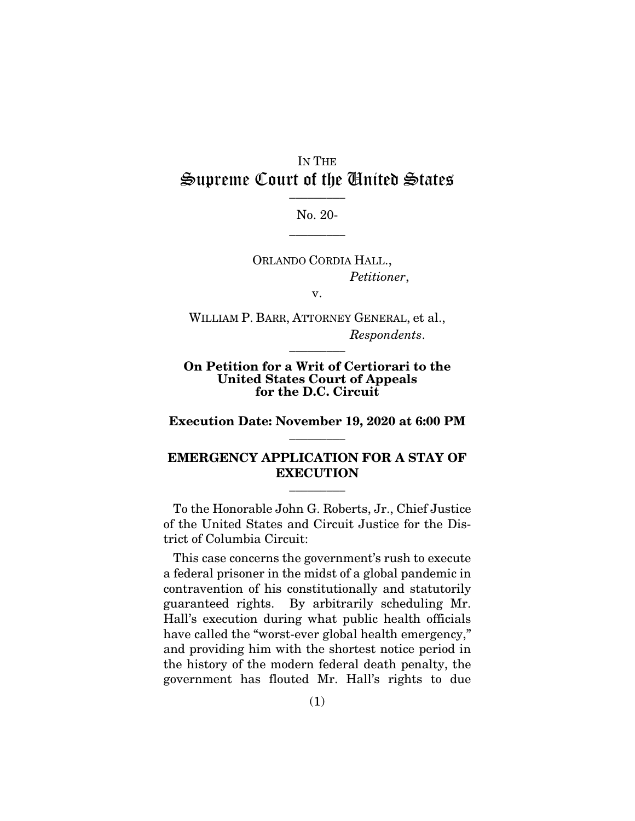## IN THE Supreme Court of the United States  $\frac{1}{\sqrt{2}}$

No. 20-  $\overline{\phantom{a}}$  . The set of  $\overline{\phantom{a}}$ 

ORLANDO CORDIA HALL., *Petitioner*,

v.

WILLIAM P. BARR, ATTORNEY GENERAL, et al., *Respondents*.  $\overline{\phantom{a}}$  . The set of  $\overline{\phantom{a}}$ 

#### On Petition for a Writ of Certiorari to the United States Court of Appeals for the D.C. Circuit

Execution Date: November 19, 2020 at 6:00 PM  $\overline{\phantom{a}}$  . The set of  $\overline{\phantom{a}}$ 

## EMERGENCY APPLICATION FOR A STAY OF **EXECUTION**

 $\overline{\phantom{a}}$  . The set of  $\overline{\phantom{a}}$ 

To the Honorable John G. Roberts, Jr., Chief Justice of the United States and Circuit Justice for the District of Columbia Circuit:

This case concerns the government's rush to execute a federal prisoner in the midst of a global pandemic in contravention of his constitutionally and statutorily guaranteed rights. By arbitrarily scheduling Mr. Hall's execution during what public health officials have called the "worst-ever global health emergency," and providing him with the shortest notice period in the history of the modern federal death penalty, the government has flouted Mr. Hall's rights to due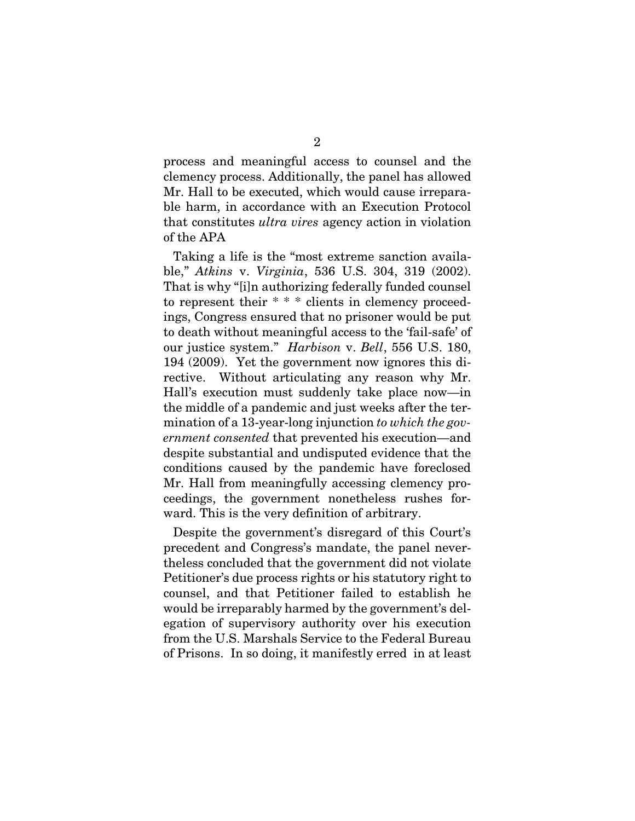process and meaningful access to counsel and the clemency process. Additionally, the panel has allowed Mr. Hall to be executed, which would cause irreparable harm, in accordance with an Execution Protocol that constitutes *ultra vires* agency action in violation of the APA

Taking a life is the "most extreme sanction available," *Atkins* v. *Virginia*, 536 U.S. 304, 319 (2002). That is why "[i]n authorizing federally funded counsel to represent their \* \* \* clients in clemency proceedings, Congress ensured that no prisoner would be put to death without meaningful access to the 'fail-safe' of our justice system." *Harbison* v. *Bell*, 556 U.S. 180, 194 (2009). Yet the government now ignores this directive. Without articulating any reason why Mr. Hall's execution must suddenly take place now—in the middle of a pandemic and just weeks after the termination of a 13-year-long injunction *to which the government consented* that prevented his execution—and despite substantial and undisputed evidence that the conditions caused by the pandemic have foreclosed Mr. Hall from meaningfully accessing clemency proceedings, the government nonetheless rushes forward. This is the very definition of arbitrary.

Despite the government's disregard of this Court's precedent and Congress's mandate, the panel nevertheless concluded that the government did not violate Petitioner's due process rights or his statutory right to counsel, and that Petitioner failed to establish he would be irreparably harmed by the government's delegation of supervisory authority over his execution from the U.S. Marshals Service to the Federal Bureau of Prisons. In so doing, it manifestly erred in at least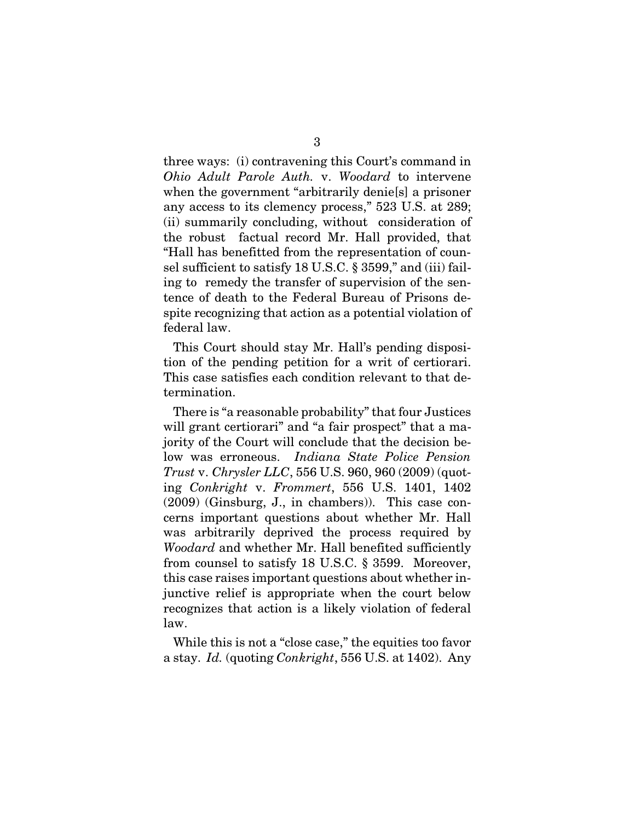three ways: (i) contravening this Court's command in *Ohio Adult Parole Auth.* v. *Woodard* to intervene when the government "arbitrarily denie<sup>[s]</sup> a prisoner any access to its clemency process," 523 U.S. at 289; (ii) summarily concluding, without consideration of the robust factual record Mr. Hall provided, that "Hall has benefitted from the representation of counsel sufficient to satisfy 18 U.S.C. § 3599," and (iii) failing to remedy the transfer of supervision of the sentence of death to the Federal Bureau of Prisons despite recognizing that action as a potential violation of federal law.

This Court should stay Mr. Hall's pending disposition of the pending petition for a writ of certiorari. This case satisfies each condition relevant to that determination.

There is "a reasonable probability" that four Justices will grant certiorari" and "a fair prospect" that a majority of the Court will conclude that the decision below was erroneous. *Indiana State Police Pension Trust* v. *Chrysler LLC*, 556 U.S. 960, 960 (2009) (quoting *Conkright* v. *Frommert*, 556 U.S. 1401, 1402 (2009) (Ginsburg, J., in chambers)). This case concerns important questions about whether Mr. Hall was arbitrarily deprived the process required by *Woodard* and whether Mr. Hall benefited sufficiently from counsel to satisfy 18 U.S.C. § 3599. Moreover, this case raises important questions about whether injunctive relief is appropriate when the court below recognizes that action is a likely violation of federal law.

While this is not a "close case," the equities too favor a stay. *Id.* (quoting *Conkright*, 556 U.S. at 1402). Any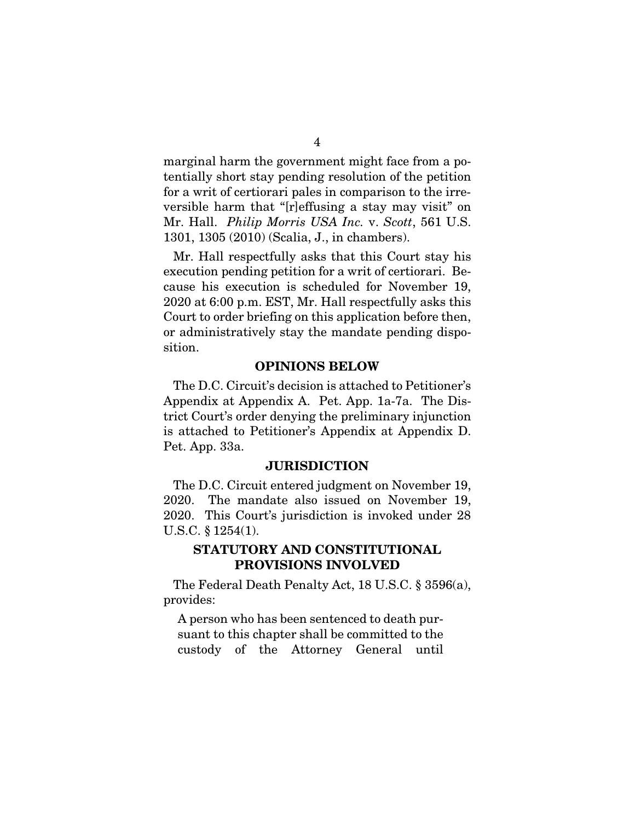marginal harm the government might face from a potentially short stay pending resolution of the petition for a writ of certiorari pales in comparison to the irreversible harm that "[r]effusing a stay may visit" on Mr. Hall. *Philip Morris USA Inc.* v. *Scott*, 561 U.S. 1301, 1305 (2010) (Scalia, J., in chambers).

Mr. Hall respectfully asks that this Court stay his execution pending petition for a writ of certiorari. Because his execution is scheduled for November 19, 2020 at 6:00 p.m. EST, Mr. Hall respectfully asks this Court to order briefing on this application before then, or administratively stay the mandate pending disposition.

### OPINIONS BELOW

The D.C. Circuit's decision is attached to Petitioner's Appendix at Appendix A. Pet. App. 1a-7a. The District Court's order denying the preliminary injunction is attached to Petitioner's Appendix at Appendix D. Pet. App. 33a.

#### **JURISDICTION**

The D.C. Circuit entered judgment on November 19, 2020. The mandate also issued on November 19, 2020. This Court's jurisdiction is invoked under 28 U.S.C. § 1254(1).

## STATUTORY AND CONSTITUTIONAL PROVISIONS INVOLVED

The Federal Death Penalty Act, 18 U.S.C. § 3596(a), provides:

A person who has been sentenced to death pursuant to this chapter shall be committed to the custody of the Attorney General until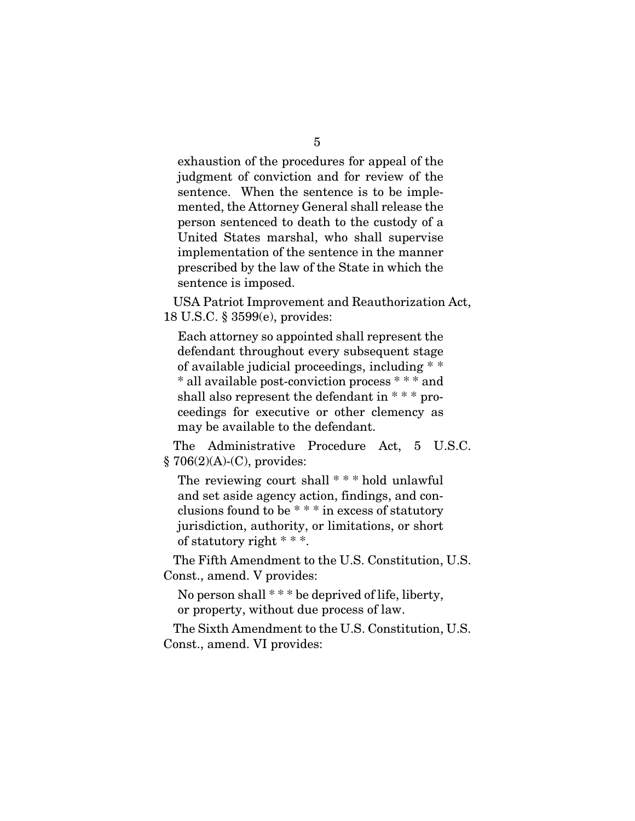exhaustion of the procedures for appeal of the judgment of conviction and for review of the sentence. When the sentence is to be implemented, the Attorney General shall release the person sentenced to death to the custody of a United States marshal, who shall supervise implementation of the sentence in the manner prescribed by the law of the State in which the sentence is imposed.

USA Patriot Improvement and Reauthorization Act, 18 U.S.C. § 3599(e), provides:

Each attorney so appointed shall represent the defendant throughout every subsequent stage of available judicial proceedings, including \* \* \* all available post-conviction process \* \* \* and shall also represent the defendant in  $***$  proceedings for executive or other clemency as may be available to the defendant.

The Administrative Procedure Act, 5 U.S.C. § 706(2)(A)-(C), provides:

The reviewing court shall \* \* \* hold unlawful and set aside agency action, findings, and conclusions found to be \* \* \* in excess of statutory jurisdiction, authority, or limitations, or short of statutory right \* \* \*.

The Fifth Amendment to the U.S. Constitution, U.S. Const., amend. V provides:

No person shall  $***$  be deprived of life, liberty, or property, without due process of law.

The Sixth Amendment to the U.S. Constitution, U.S. Const., amend. VI provides: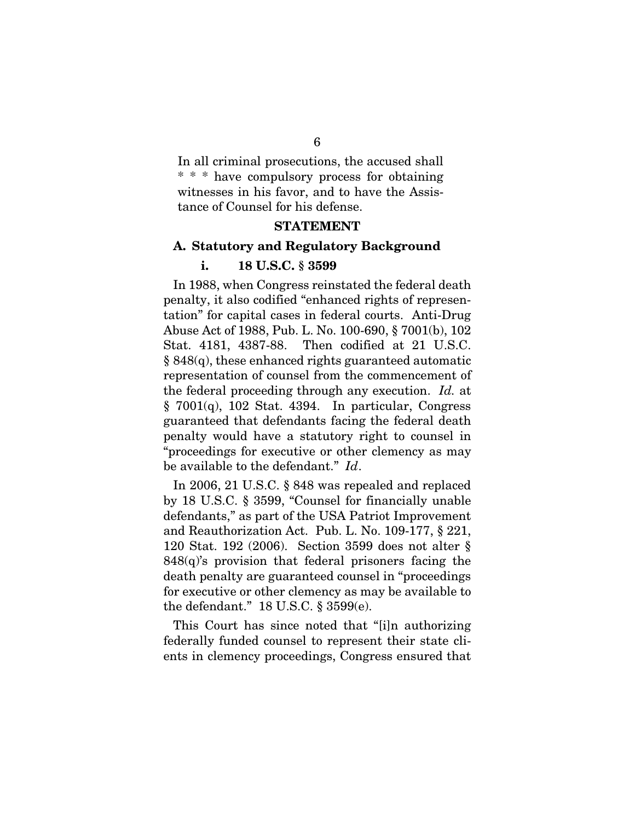In all criminal prosecutions, the accused shall \* \* \* have compulsory process for obtaining witnesses in his favor, and to have the Assistance of Counsel for his defense.

#### STATEMENT

### A. Statutory and Regulatory Background

#### i. 18 U.S.C. § 3599

In 1988, when Congress reinstated the federal death penalty, it also codified "enhanced rights of representation" for capital cases in federal courts. Anti-Drug Abuse Act of 1988, Pub. L. No. 100-690, § 7001(b), 102 Stat. 4181, 4387-88. Then codified at 21 U.S.C.  $§ 848(q)$ , these enhanced rights guaranteed automatic representation of counsel from the commencement of the federal proceeding through any execution. *Id.* at  $§ 7001(q), 102$  Stat. 4394. In particular, Congress guaranteed that defendants facing the federal death penalty would have a statutory right to counsel in "proceedings for executive or other clemency as may be available to the defendant." *Id*.

In 2006, 21 U.S.C. § 848 was repealed and replaced by 18 U.S.C. § 3599, "Counsel for financially unable defendants," as part of the USA Patriot Improvement and Reauthorization Act. Pub. L. No. 109-177, § 221, 120 Stat. 192 (2006). Section 3599 does not alter §  $848(q)$ 's provision that federal prisoners facing the death penalty are guaranteed counsel in "proceedings for executive or other clemency as may be available to the defendant." 18 U.S.C. § 3599(e).

This Court has since noted that "[i]n authorizing federally funded counsel to represent their state clients in clemency proceedings, Congress ensured that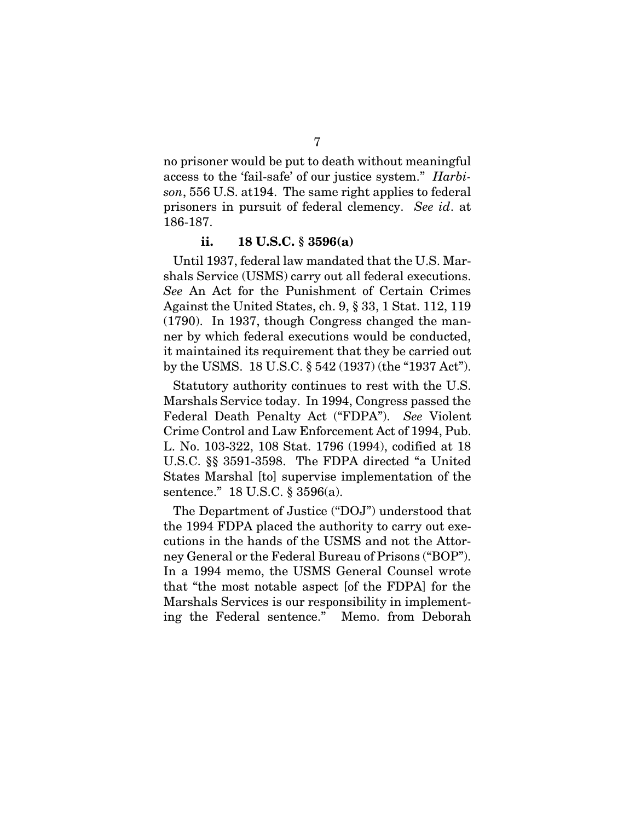no prisoner would be put to death without meaningful access to the 'fail-safe' of our justice system." *Harbison*, 556 U.S. at194. The same right applies to federal prisoners in pursuit of federal clemency. *See id*. at 186-187.

#### ii. 18 U.S.C. § 3596(a)

Until 1937, federal law mandated that the U.S. Marshals Service (USMS) carry out all federal executions. *See* An Act for the Punishment of Certain Crimes Against the United States, ch. 9, § 33, 1 Stat. 112, 119 (1790). In 1937, though Congress changed the manner by which federal executions would be conducted, it maintained its requirement that they be carried out by the USMS. 18 U.S.C. § 542 (1937) (the "1937 Act").

Statutory authority continues to rest with the U.S. Marshals Service today. In 1994, Congress passed the Federal Death Penalty Act ("FDPA"). *See* Violent Crime Control and Law Enforcement Act of 1994, Pub. L. No. 103-322, 108 Stat. 1796 (1994), codified at 18 U.S.C. §§ 3591-3598. The FDPA directed "a United States Marshal [to] supervise implementation of the sentence." 18 U.S.C. § 3596(a).

The Department of Justice ("DOJ") understood that the 1994 FDPA placed the authority to carry out executions in the hands of the USMS and not the Attorney General or the Federal Bureau of Prisons ("BOP"). In a 1994 memo, the USMS General Counsel wrote that "the most notable aspect [of the FDPA] for the Marshals Services is our responsibility in implementing the Federal sentence." Memo. from Deborah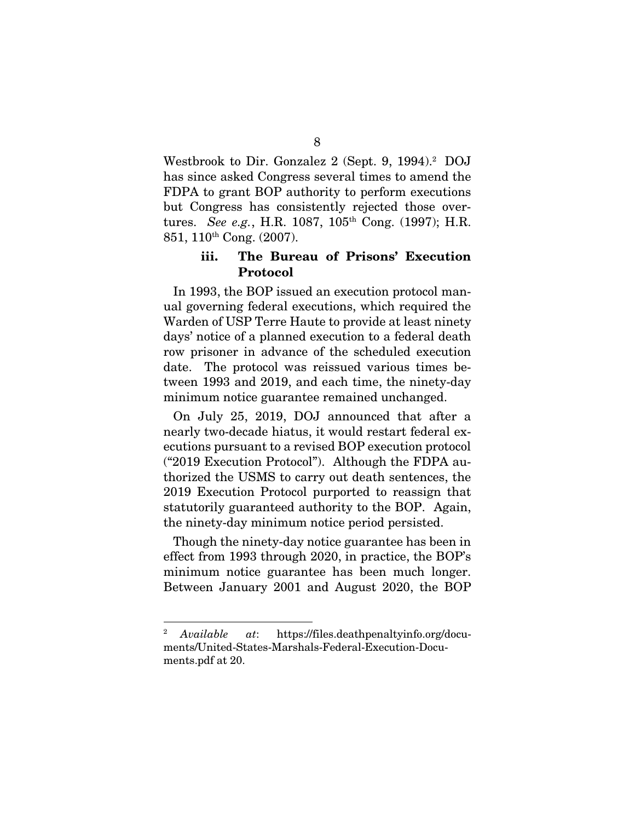Westbrook to Dir. Gonzalez 2 (Sept. 9, 1994).<sup>2</sup> DOJ has since asked Congress several times to amend the FDPA to grant BOP authority to perform executions but Congress has consistently rejected those overtures. *See e.g.*, H.R. 1087, 105th Cong. (1997); H.R. 851, 110th Cong. (2007).

## iii. The Bureau of Prisons' Execution Protocol

In 1993, the BOP issued an execution protocol manual governing federal executions, which required the Warden of USP Terre Haute to provide at least ninety days' notice of a planned execution to a federal death row prisoner in advance of the scheduled execution date. The protocol was reissued various times between 1993 and 2019, and each time, the ninety-day minimum notice guarantee remained unchanged.

On July 25, 2019, DOJ announced that after a nearly two-decade hiatus, it would restart federal executions pursuant to a revised BOP execution protocol ("2019 Execution Protocol"). Although the FDPA authorized the USMS to carry out death sentences, the 2019 Execution Protocol purported to reassign that statutorily guaranteed authority to the BOP. Again, the ninety-day minimum notice period persisted.

Though the ninety-day notice guarantee has been in effect from 1993 through 2020, in practice, the BOP's minimum notice guarantee has been much longer. Between January 2001 and August 2020, the BOP

<sup>2</sup> *Available at*: https://files.deathpenaltyinfo.org/documents/United-States-Marshals-Federal-Execution-Documents.pdf at 20.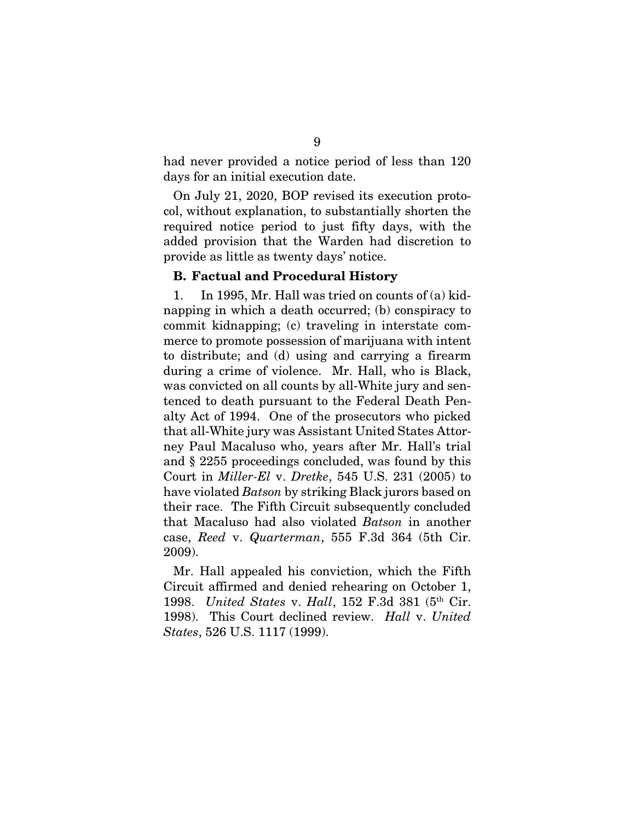had never provided a notice period of less than 120 days for an initial execution date.

On July 21, 2020, BOP revised its execution protocol, without explanation, to substantially shorten the required notice period to just fifty days, with the added provision that the Warden had discretion to provide as little as twenty days' notice.

#### B. Factual and Procedural History

1. In 1995, Mr. Hall was tried on counts of (a) kidnapping in which a death occurred; (b) conspiracy to commit kidnapping; (c) traveling in interstate commerce to promote possession of marijuana with intent to distribute; and (d) using and carrying a firearm during a crime of violence. Mr. Hall, who is Black, was convicted on all counts by all-White jury and sentenced to death pursuant to the Federal Death Penalty Act of 1994. One of the prosecutors who picked that all-White jury was Assistant United States Attorney Paul Macaluso who, years after Mr. Hall's trial and § 2255 proceedings concluded, was found by this Court in *Miller-El* v. *Dretke*, 545 U.S. 231 (2005) to have violated *Batson* by striking Black jurors based on their race. The Fifth Circuit subsequently concluded that Macaluso had also violated *Batson* in another case, *Reed* v. *Quarterman*, 555 F.3d 364 (5th Cir. 2009).

Mr. Hall appealed his conviction, which the Fifth Circuit affirmed and denied rehearing on October 1, 1998. *United States* v. *Hall*, 152 F.3d 381 (5th Cir. 1998). This Court declined review. *Hall* v. *United States*, 526 U.S. 1117 (1999).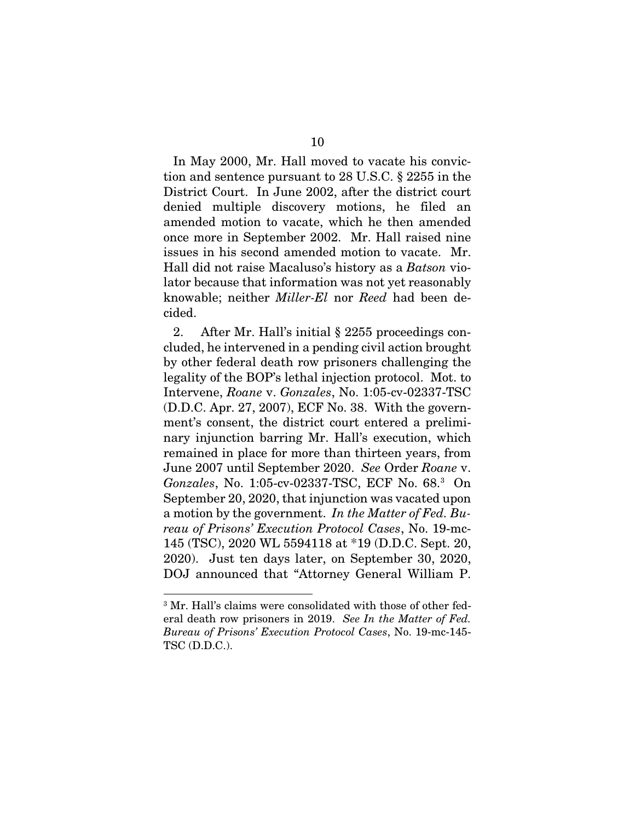In May 2000, Mr. Hall moved to vacate his conviction and sentence pursuant to 28 U.S.C. § 2255 in the District Court. In June 2002, after the district court denied multiple discovery motions, he filed an amended motion to vacate, which he then amended once more in September 2002. Mr. Hall raised nine issues in his second amended motion to vacate. Mr. Hall did not raise Macaluso's history as a *Batson* violator because that information was not yet reasonably knowable; neither *Miller-El* nor *Reed* had been decided.

2. After Mr. Hall's initial § 2255 proceedings concluded, he intervened in a pending civil action brought by other federal death row prisoners challenging the legality of the BOP's lethal injection protocol. Mot. to Intervene, *Roane* v. *Gonzales*, No. 1:05-cv-02337-TSC (D.D.C. Apr. 27, 2007), ECF No. 38. With the government's consent, the district court entered a preliminary injunction barring Mr. Hall's execution, which remained in place for more than thirteen years, from June 2007 until September 2020. *See* Order *Roane* v. *Gonzales*, No. 1:05-cv-02337-TSC, ECF No. 68.<sup>3</sup> On September 20, 2020, that injunction was vacated upon a motion by the government. *In the Matter of Fed. Bureau of Prisons' Execution Protocol Cases*, No. 19-mc-145 (TSC), 2020 WL 5594118 at \*19 (D.D.C. Sept. 20, 2020). Just ten days later, on September 30, 2020, DOJ announced that "Attorney General William P.

<sup>&</sup>lt;sup>3</sup> Mr. Hall's claims were consolidated with those of other federal death row prisoners in 2019. *See In the Matter of Fed. Bureau of Prisons' Execution Protocol Cases*, No. 19-mc-145- TSC (D.D.C.).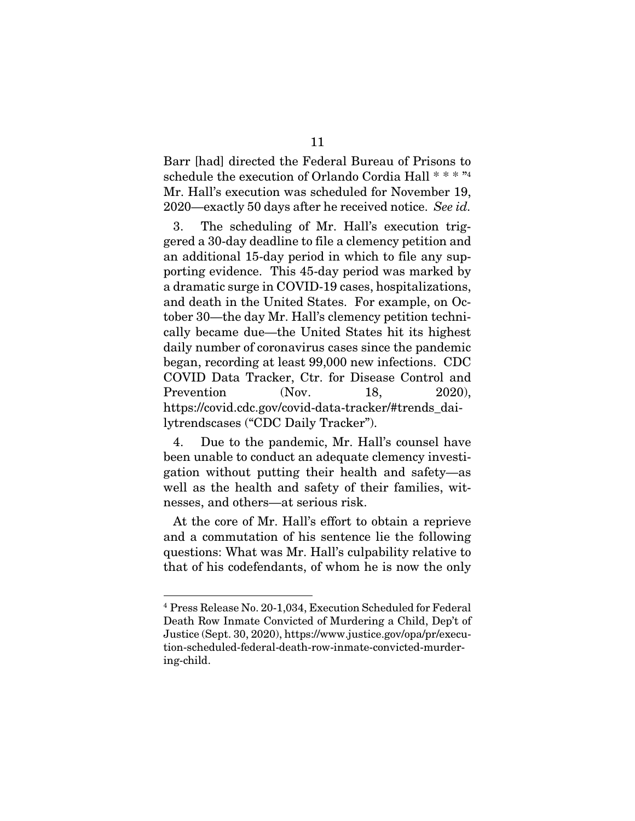Barr [had] directed the Federal Bureau of Prisons to schedule the execution of Orlando Cordia Hall \* \* \* "<sup>4</sup> Mr. Hall's execution was scheduled for November 19, 2020—exactly 50 days after he received notice. *See id.*

3. The scheduling of Mr. Hall's execution triggered a 30-day deadline to file a clemency petition and an additional 15-day period in which to file any supporting evidence. This 45-day period was marked by a dramatic surge in COVID-19 cases, hospitalizations, and death in the United States. For example, on October 30—the day Mr. Hall's clemency petition technically became due—the United States hit its highest daily number of coronavirus cases since the pandemic began, recording at least 99,000 new infections. CDC COVID Data Tracker, Ctr. for Disease Control and Prevention (Nov. 18, 2020), https://covid.cdc.gov/covid-data-tracker/#trends\_dailytrendscases ("CDC Daily Tracker").

4. Due to the pandemic, Mr. Hall's counsel have been unable to conduct an adequate clemency investigation without putting their health and safety—as well as the health and safety of their families, witnesses, and others—at serious risk.

At the core of Mr. Hall's effort to obtain a reprieve and a commutation of his sentence lie the following questions: What was Mr. Hall's culpability relative to that of his codefendants, of whom he is now the only

<sup>4</sup> Press Release No. 20-1,034, Execution Scheduled for Federal Death Row Inmate Convicted of Murdering a Child, Dep't of Justice (Sept. 30, 2020), https://www.justice.gov/opa/pr/execution-scheduled-federal-death-row-inmate-convicted-murdering-child.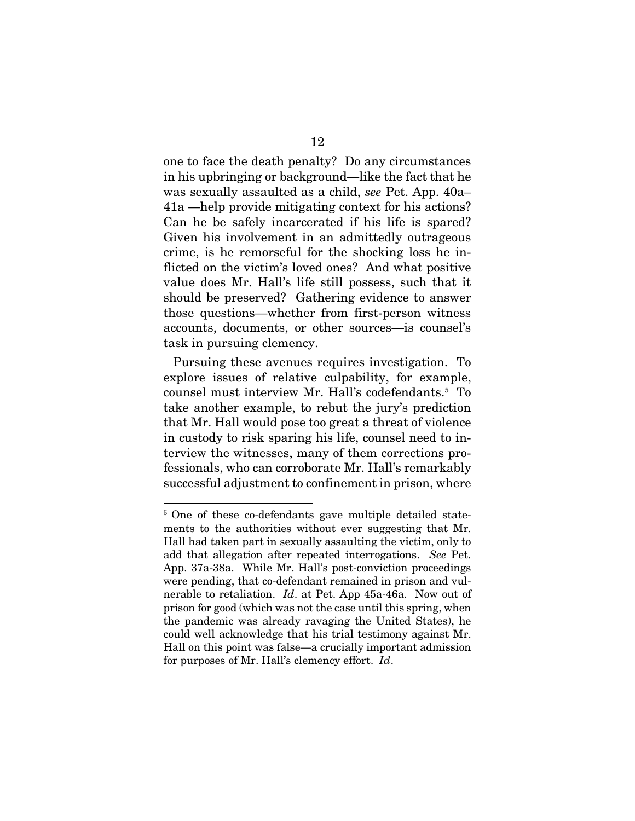one to face the death penalty? Do any circumstances in his upbringing or background—like the fact that he was sexually assaulted as a child, *see* Pet. App. 40a– 41a —help provide mitigating context for his actions? Can he be safely incarcerated if his life is spared? Given his involvement in an admittedly outrageous crime, is he remorseful for the shocking loss he inflicted on the victim's loved ones? And what positive value does Mr. Hall's life still possess, such that it should be preserved? Gathering evidence to answer those questions—whether from first-person witness accounts, documents, or other sources—is counsel's task in pursuing clemency.

Pursuing these avenues requires investigation. To explore issues of relative culpability, for example, counsel must interview Mr. Hall's codefendants.<sup>5</sup> To take another example, to rebut the jury's prediction that Mr. Hall would pose too great a threat of violence in custody to risk sparing his life, counsel need to interview the witnesses, many of them corrections professionals, who can corroborate Mr. Hall's remarkably successful adjustment to confinement in prison, where

<sup>&</sup>lt;sup>5</sup> One of these co-defendants gave multiple detailed statements to the authorities without ever suggesting that Mr. Hall had taken part in sexually assaulting the victim, only to add that allegation after repeated interrogations. *See* Pet. App. 37a-38a. While Mr. Hall's post-conviction proceedings were pending, that co-defendant remained in prison and vulnerable to retaliation. *Id*. at Pet. App 45a-46a. Now out of prison for good (which was not the case until this spring, when the pandemic was already ravaging the United States), he could well acknowledge that his trial testimony against Mr. Hall on this point was false—a crucially important admission for purposes of Mr. Hall's clemency effort. *Id*.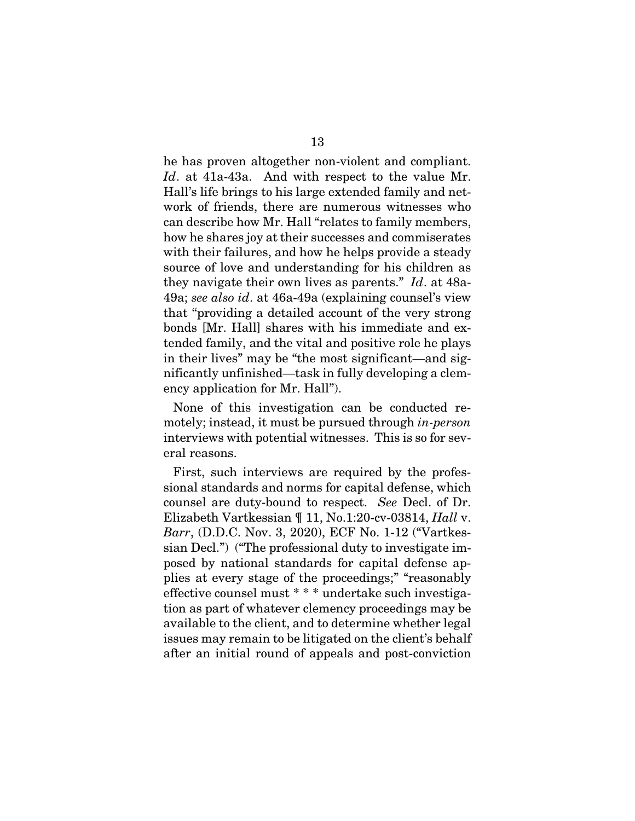he has proven altogether non-violent and compliant. *Id*. at 41a-43a. And with respect to the value Mr. Hall's life brings to his large extended family and network of friends, there are numerous witnesses who can describe how Mr. Hall "relates to family members, how he shares joy at their successes and commiserates with their failures, and how he helps provide a steady source of love and understanding for his children as they navigate their own lives as parents." *Id*. at 48a-49a; *see also id*. at 46a-49a (explaining counsel's view that "providing a detailed account of the very strong bonds [Mr. Hall] shares with his immediate and extended family, and the vital and positive role he plays in their lives" may be "the most significant—and significantly unfinished—task in fully developing a clemency application for Mr. Hall").

None of this investigation can be conducted remotely; instead, it must be pursued through *in-person* interviews with potential witnesses. This is so for several reasons.

First, such interviews are required by the professional standards and norms for capital defense, which counsel are duty-bound to respect. *See* Decl. of Dr. Elizabeth Vartkessian ¶ 11, No.1:20-cv-03814, *Hall* v. *Barr*, (D.D.C. Nov. 3, 2020), ECF No. 1-12 ("Vartkessian Decl.") ("The professional duty to investigate imposed by national standards for capital defense applies at every stage of the proceedings;" "reasonably effective counsel must \* \* \* undertake such investigation as part of whatever clemency proceedings may be available to the client, and to determine whether legal issues may remain to be litigated on the client's behalf after an initial round of appeals and post-conviction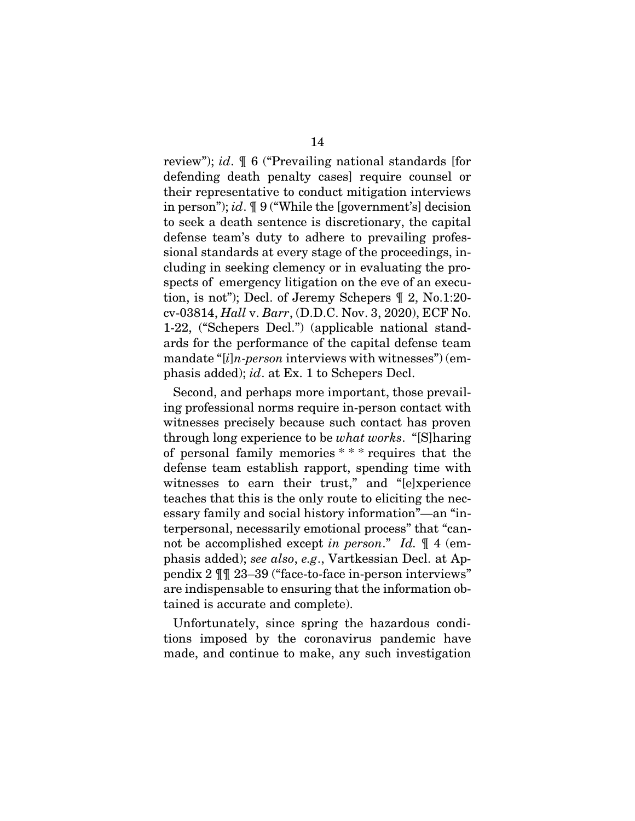review"); *id*. ¶ 6 ("Prevailing national standards [for defending death penalty cases] require counsel or their representative to conduct mitigation interviews in person"); *id*. ¶ 9 ("While the [government's] decision to seek a death sentence is discretionary, the capital defense team's duty to adhere to prevailing professional standards at every stage of the proceedings, including in seeking clemency or in evaluating the prospects of emergency litigation on the eve of an execution, is not"); Decl. of Jeremy Schepers ¶ 2, No.1:20 cv-03814, *Hall* v. *Barr*, (D.D.C. Nov. 3, 2020), ECF No. 1-22, ("Schepers Decl.") (applicable national standards for the performance of the capital defense team mandate "[*i*]*n-person* interviews with witnesses") (emphasis added); *id*. at Ex. 1 to Schepers Decl.

Second, and perhaps more important, those prevailing professional norms require in-person contact with witnesses precisely because such contact has proven through long experience to be *what works*. "[S]haring of personal family memories \* \* \* requires that the defense team establish rapport, spending time with witnesses to earn their trust," and "[e]xperience teaches that this is the only route to eliciting the necessary family and social history information"—an "interpersonal, necessarily emotional process" that "cannot be accomplished except *in person*." *Id.* ¶ 4 (emphasis added); *see also*, *e.g*., Vartkessian Decl. at Appendix 2 ¶¶ 23–39 ("face-to-face in-person interviews" are indispensable to ensuring that the information obtained is accurate and complete).

Unfortunately, since spring the hazardous conditions imposed by the coronavirus pandemic have made, and continue to make, any such investigation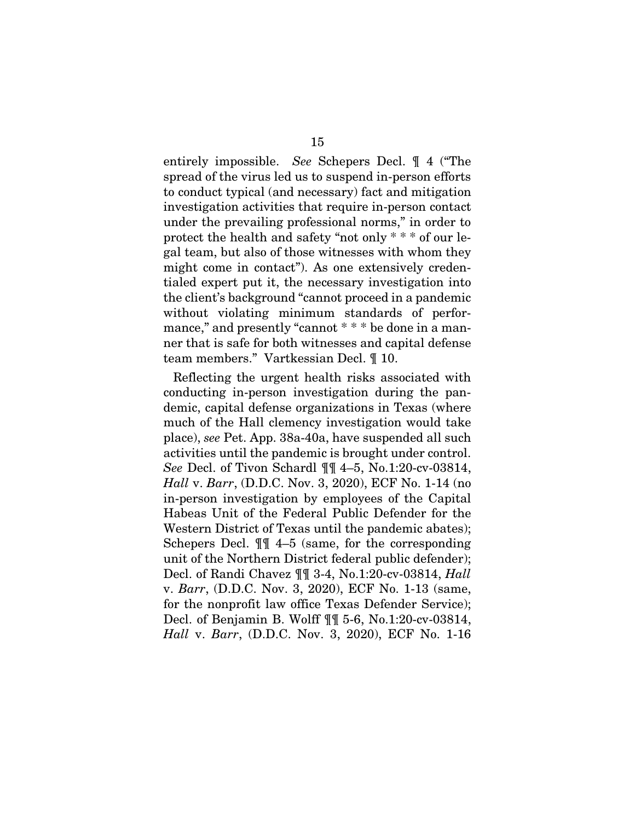entirely impossible. *See* Schepers Decl. ¶ 4 ("The spread of the virus led us to suspend in-person efforts to conduct typical (and necessary) fact and mitigation investigation activities that require in-person contact under the prevailing professional norms," in order to protect the health and safety "not only \* \* \* of our legal team, but also of those witnesses with whom they might come in contact"). As one extensively credentialed expert put it, the necessary investigation into the client's background "cannot proceed in a pandemic without violating minimum standards of performance," and presently "cannot \* \* \* be done in a manner that is safe for both witnesses and capital defense team members." Vartkessian Decl. ¶ 10.

Reflecting the urgent health risks associated with conducting in-person investigation during the pandemic, capital defense organizations in Texas (where much of the Hall clemency investigation would take place), *see* Pet. App. 38a-40a, have suspended all such activities until the pandemic is brought under control. *See* Decl. of Tivon Schardl ¶¶ 4–5, No.1:20-cv-03814, *Hall* v. *Barr*, (D.D.C. Nov. 3, 2020), ECF No. 1-14 (no in-person investigation by employees of the Capital Habeas Unit of the Federal Public Defender for the Western District of Texas until the pandemic abates); Schepers Decl. ¶¶ 4–5 (same, for the corresponding unit of the Northern District federal public defender); Decl. of Randi Chavez ¶¶ 3-4, No.1:20-cv-03814, *Hall*  v. *Barr*, (D.D.C. Nov. 3, 2020), ECF No. 1-13 (same, for the nonprofit law office Texas Defender Service); Decl. of Benjamin B. Wolff ¶¶ 5-6, No.1:20-cv-03814, *Hall* v. *Barr*, (D.D.C. Nov. 3, 2020), ECF No. 1-16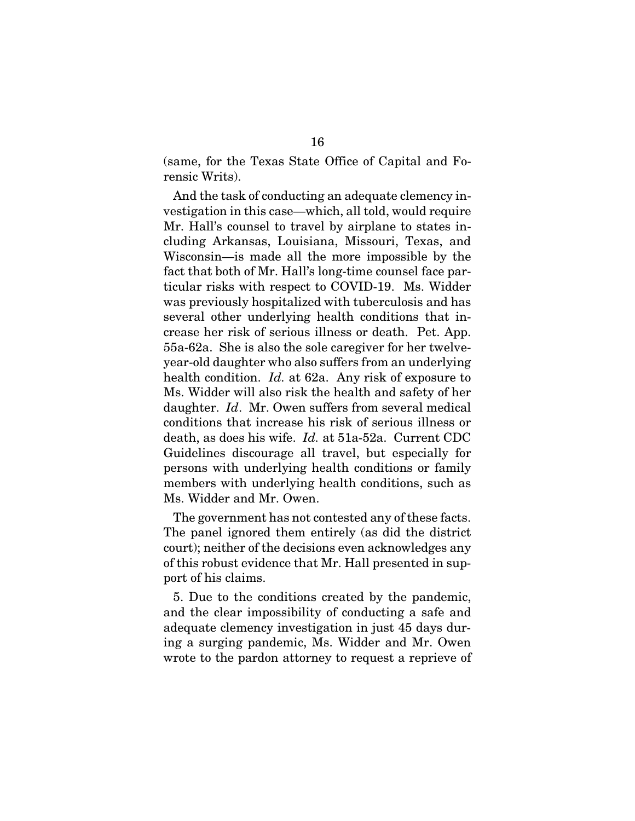(same, for the Texas State Office of Capital and Forensic Writs).

And the task of conducting an adequate clemency investigation in this case—which, all told, would require Mr. Hall's counsel to travel by airplane to states including Arkansas, Louisiana, Missouri, Texas, and Wisconsin—is made all the more impossible by the fact that both of Mr. Hall's long-time counsel face particular risks with respect to COVID-19. Ms. Widder was previously hospitalized with tuberculosis and has several other underlying health conditions that increase her risk of serious illness or death. Pet. App. 55a-62a. She is also the sole caregiver for her twelveyear-old daughter who also suffers from an underlying health condition. *Id.* at 62a. Any risk of exposure to Ms. Widder will also risk the health and safety of her daughter. *Id*. Mr. Owen suffers from several medical conditions that increase his risk of serious illness or death, as does his wife. *Id.* at 51a-52a. Current CDC Guidelines discourage all travel, but especially for persons with underlying health conditions or family members with underlying health conditions, such as Ms. Widder and Mr. Owen.

The government has not contested any of these facts. The panel ignored them entirely (as did the district court); neither of the decisions even acknowledges any of this robust evidence that Mr. Hall presented in support of his claims.

5. Due to the conditions created by the pandemic, and the clear impossibility of conducting a safe and adequate clemency investigation in just 45 days during a surging pandemic, Ms. Widder and Mr. Owen wrote to the pardon attorney to request a reprieve of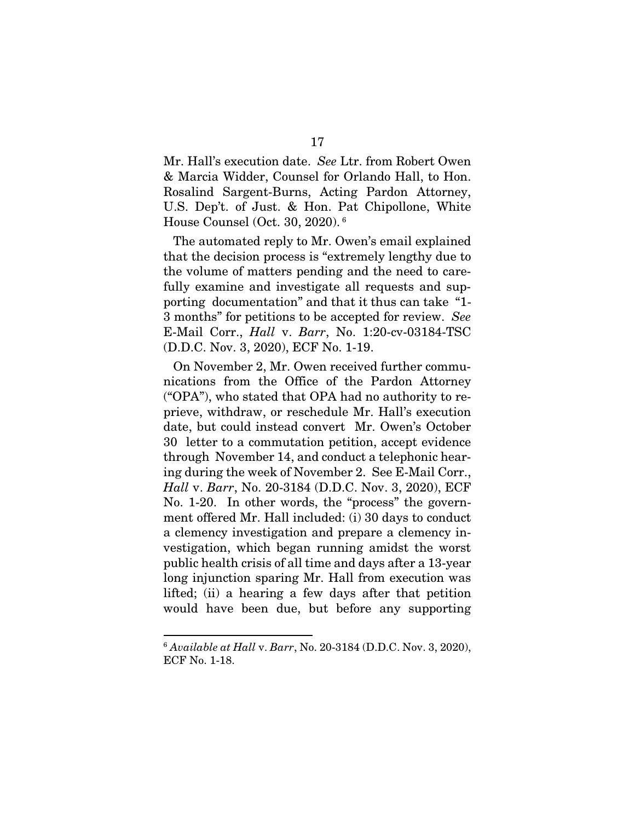Mr. Hall's execution date. *See* Ltr. from Robert Owen & Marcia Widder, Counsel for Orlando Hall, to Hon. Rosalind Sargent-Burns, Acting Pardon Attorney, U.S. Dep't. of Just. & Hon. Pat Chipollone, White House Counsel (Oct. 30, 2020).<sup>6</sup>

The automated reply to Mr. Owen's email explained that the decision process is "extremely lengthy due to the volume of matters pending and the need to carefully examine and investigate all requests and supporting documentation" and that it thus can take "1- 3 months" for petitions to be accepted for review. *See* E-Mail Corr., *Hall* v. *Barr*, No. 1:20-cv-03184-TSC (D.D.C. Nov. 3, 2020), ECF No. 1-19.

On November 2, Mr. Owen received further communications from the Office of the Pardon Attorney ("OPA"), who stated that OPA had no authority to reprieve, withdraw, or reschedule Mr. Hall's execution date, but could instead convert Mr. Owen's October 30 letter to a commutation petition, accept evidence through November 14, and conduct a telephonic hearing during the week of November 2. See E-Mail Corr., *Hall* v. *Barr*, No. 20-3184 (D.D.C. Nov. 3, 2020), ECF No. 1-20. In other words, the "process" the government offered Mr. Hall included: (i) 30 days to conduct a clemency investigation and prepare a clemency investigation, which began running amidst the worst public health crisis of all time and days after a 13-year long injunction sparing Mr. Hall from execution was lifted; (ii) a hearing a few days after that petition would have been due, but before any supporting

<sup>6</sup> *Available at Hall* v. *Barr*, No. 20-3184 (D.D.C. Nov. 3, 2020), ECF No. 1-18.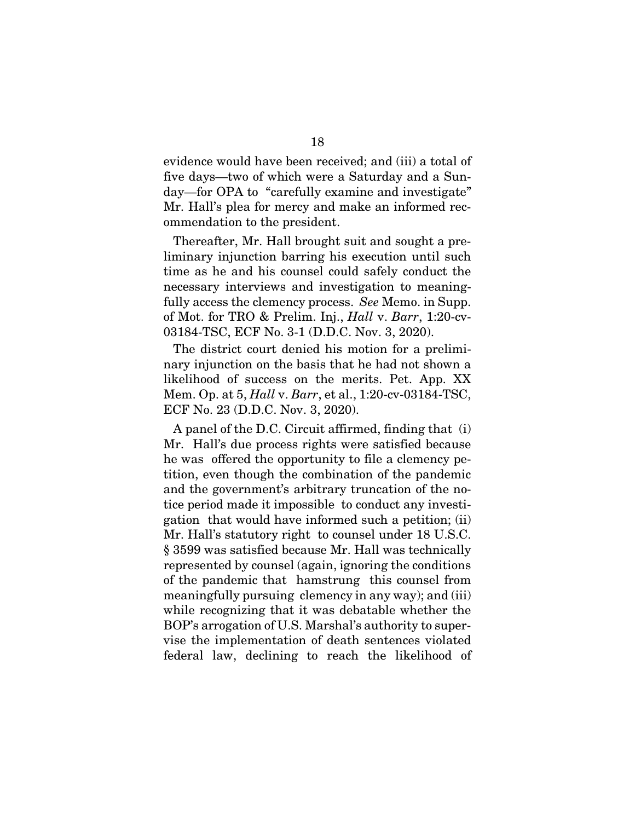evidence would have been received; and (iii) a total of five days—two of which were a Saturday and a Sunday—for OPA to "carefully examine and investigate" Mr. Hall's plea for mercy and make an informed recommendation to the president.

Thereafter, Mr. Hall brought suit and sought a preliminary injunction barring his execution until such time as he and his counsel could safely conduct the necessary interviews and investigation to meaningfully access the clemency process. *See* Memo. in Supp. of Mot. for TRO & Prelim. Inj., *Hall* v. *Barr*, 1:20-cv-03184-TSC, ECF No. 3-1 (D.D.C. Nov. 3, 2020).

The district court denied his motion for a preliminary injunction on the basis that he had not shown a likelihood of success on the merits. Pet. App. XX Mem. Op. at 5, *Hall* v. *Barr*, et al., 1:20-cv-03184-TSC, ECF No. 23 (D.D.C. Nov. 3, 2020).

A panel of the D.C. Circuit affirmed, finding that (i) Mr. Hall's due process rights were satisfied because he was offered the opportunity to file a clemency petition, even though the combination of the pandemic and the government's arbitrary truncation of the notice period made it impossible to conduct any investigation that would have informed such a petition; (ii) Mr. Hall's statutory right to counsel under 18 U.S.C. § 3599 was satisfied because Mr. Hall was technically represented by counsel (again, ignoring the conditions of the pandemic that hamstrung this counsel from meaningfully pursuing clemency in any way); and (iii) while recognizing that it was debatable whether the BOP's arrogation of U.S. Marshal's authority to supervise the implementation of death sentences violated federal law, declining to reach the likelihood of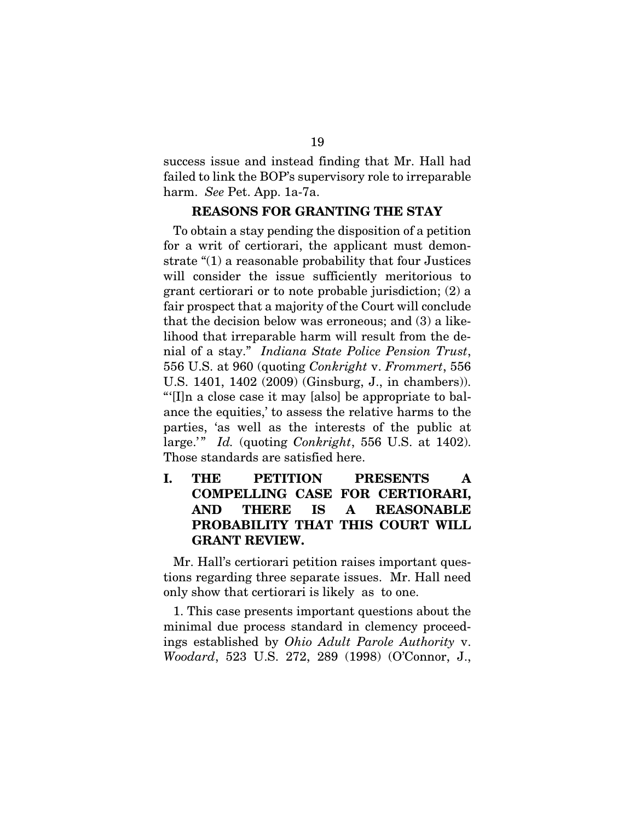success issue and instead finding that Mr. Hall had failed to link the BOP's supervisory role to irreparable harm. *See* Pet. App. 1a-7a.

#### REASONS FOR GRANTING THE STAY

To obtain a stay pending the disposition of a petition for a writ of certiorari, the applicant must demonstrate "(1) a reasonable probability that four Justices will consider the issue sufficiently meritorious to grant certiorari or to note probable jurisdiction; (2) a fair prospect that a majority of the Court will conclude that the decision below was erroneous; and (3) a likelihood that irreparable harm will result from the denial of a stay." *Indiana State Police Pension Trust*, 556 U.S. at 960 (quoting *Conkright* v. *Frommert*, 556 U.S. 1401, 1402 (2009) (Ginsburg, J., in chambers)). "'[I]n a close case it may [also] be appropriate to balance the equities,' to assess the relative harms to the parties, 'as well as the interests of the public at large.'" *Id.* (quoting *Conkright*, 556 U.S. at 1402). Those standards are satisfied here.

I. THE PETITION PRESENTS A COMPELLING CASE FOR CERTIORARI, AND THERE IS A REASONABLE PROBABILITY THAT THIS COURT WILL GRANT REVIEW.

Mr. Hall's certiorari petition raises important questions regarding three separate issues. Mr. Hall need only show that certiorari is likely as to one.

1. This case presents important questions about the minimal due process standard in clemency proceedings established by *Ohio Adult Parole Authority* v. *Woodard*, 523 U.S. 272, 289 (1998) (O'Connor, J.,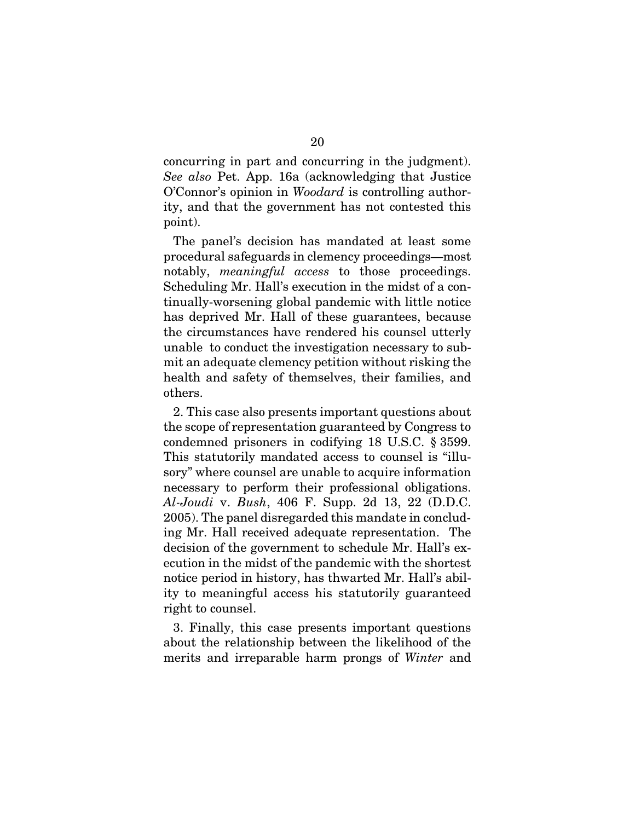concurring in part and concurring in the judgment). *See also* Pet. App. 16a (acknowledging that Justice O'Connor's opinion in *Woodard* is controlling authority, and that the government has not contested this point).

The panel's decision has mandated at least some procedural safeguards in clemency proceedings—most notably, *meaningful access* to those proceedings. Scheduling Mr. Hall's execution in the midst of a continually-worsening global pandemic with little notice has deprived Mr. Hall of these guarantees, because the circumstances have rendered his counsel utterly unable to conduct the investigation necessary to submit an adequate clemency petition without risking the health and safety of themselves, their families, and others.

2. This case also presents important questions about the scope of representation guaranteed by Congress to condemned prisoners in codifying 18 U.S.C. § 3599. This statutorily mandated access to counsel is "illusory" where counsel are unable to acquire information necessary to perform their professional obligations. *Al-Joudi* v. *Bush*, 406 F. Supp. 2d 13, 22 (D.D.C. 2005). The panel disregarded this mandate in concluding Mr. Hall received adequate representation. The decision of the government to schedule Mr. Hall's execution in the midst of the pandemic with the shortest notice period in history, has thwarted Mr. Hall's ability to meaningful access his statutorily guaranteed right to counsel.

3. Finally, this case presents important questions about the relationship between the likelihood of the merits and irreparable harm prongs of *Winter* and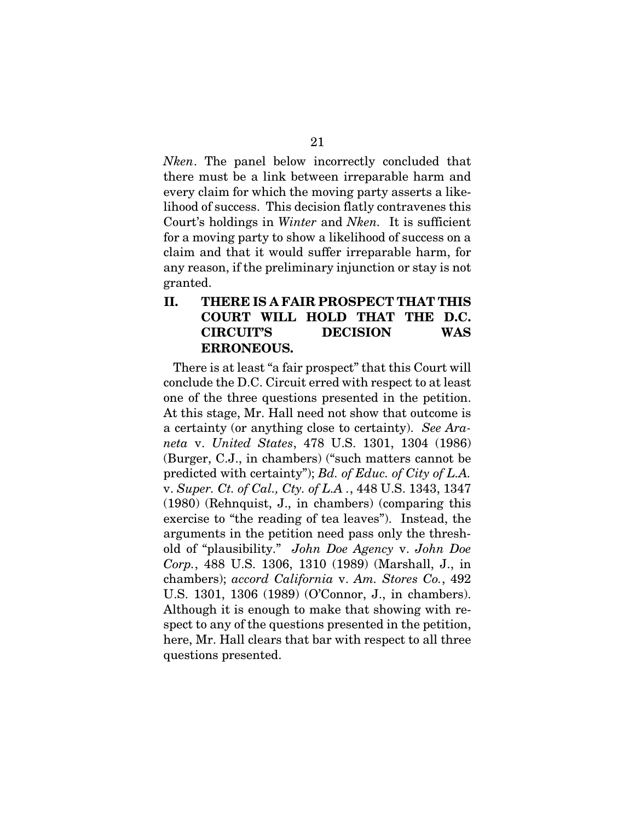*Nken*. The panel below incorrectly concluded that there must be a link between irreparable harm and every claim for which the moving party asserts a likelihood of success. This decision flatly contravenes this Court's holdings in *Winter* and *Nken.* It is sufficient for a moving party to show a likelihood of success on a claim and that it would suffer irreparable harm, for any reason, if the preliminary injunction or stay is not granted.

## II. THERE IS A FAIR PROSPECT THAT THIS COURT WILL HOLD THAT THE D.C. CIRCUIT'S DECISION WAS ERRONEOUS.

There is at least "a fair prospect" that this Court will conclude the D.C. Circuit erred with respect to at least one of the three questions presented in the petition. At this stage, Mr. Hall need not show that outcome is a certainty (or anything close to certainty). *See Araneta* v. *United States*, 478 U.S. 1301, 1304 (1986) (Burger, C.J., in chambers) ("such matters cannot be predicted with certainty"); *Bd. of Educ. of City of L.A.*  v. *Super. Ct. of Cal., Cty. of L.A .*, 448 U.S. 1343, 1347 (1980) (Rehnquist, J., in chambers) (comparing this exercise to "the reading of tea leaves"). Instead, the arguments in the petition need pass only the threshold of "plausibility." *John Doe Agency* v. *John Doe Corp.*, 488 U.S. 1306, 1310 (1989) (Marshall, J., in chambers); *accord California* v. *Am. Stores Co.*, 492 U.S. 1301, 1306 (1989) (O'Connor, J., in chambers). Although it is enough to make that showing with respect to any of the questions presented in the petition, here, Mr. Hall clears that bar with respect to all three questions presented.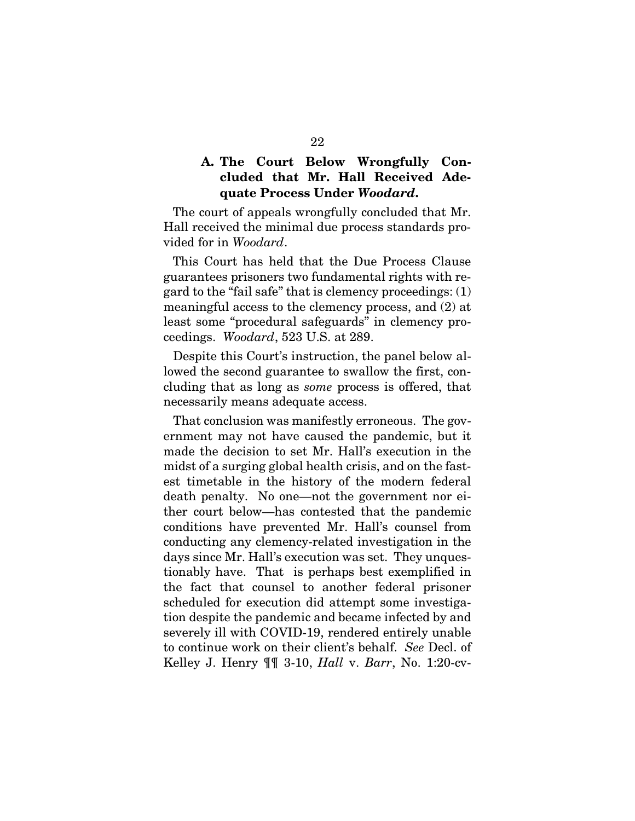## A. The Court Below Wrongfully Concluded that Mr. Hall Received Adequate Process Under *Woodard*.

 The court of appeals wrongfully concluded that Mr. Hall received the minimal due process standards provided for in *Woodard*.

 This Court has held that the Due Process Clause guarantees prisoners two fundamental rights with regard to the "fail safe" that is clemency proceedings: (1) meaningful access to the clemency process, and (2) at least some "procedural safeguards" in clemency proceedings. *Woodard*, 523 U.S. at 289.

Despite this Court's instruction, the panel below allowed the second guarantee to swallow the first, concluding that as long as *some* process is offered, that necessarily means adequate access.

That conclusion was manifestly erroneous. The government may not have caused the pandemic, but it made the decision to set Mr. Hall's execution in the midst of a surging global health crisis, and on the fastest timetable in the history of the modern federal death penalty. No one—not the government nor either court below—has contested that the pandemic conditions have prevented Mr. Hall's counsel from conducting any clemency-related investigation in the days since Mr. Hall's execution was set. They unquestionably have. That is perhaps best exemplified in the fact that counsel to another federal prisoner scheduled for execution did attempt some investigation despite the pandemic and became infected by and severely ill with COVID-19, rendered entirely unable to continue work on their client's behalf. *See* Decl. of Kelley J. Henry ¶¶ 3-10, *Hall* v. *Barr*, No. 1:20-cv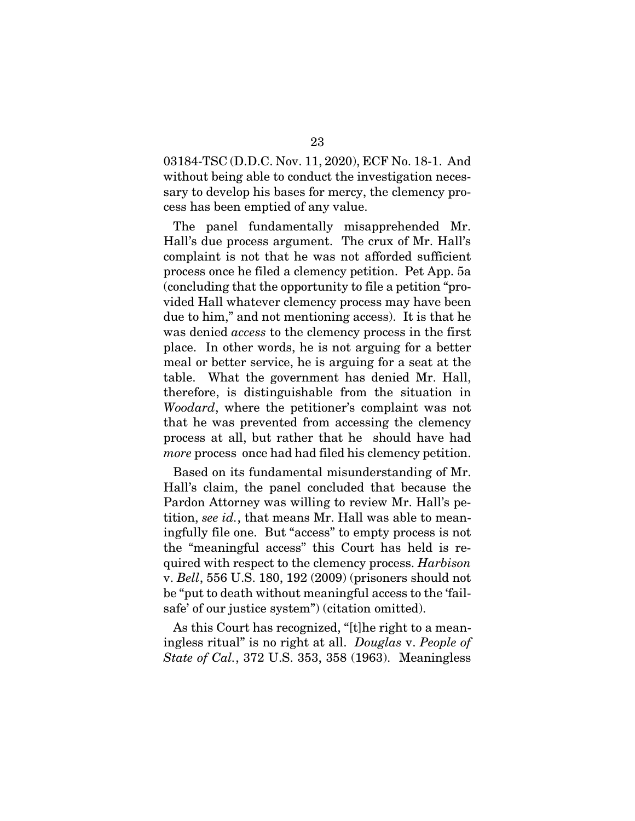03184-TSC (D.D.C. Nov. 11, 2020), ECF No. 18-1. And without being able to conduct the investigation necessary to develop his bases for mercy, the clemency process has been emptied of any value.

The panel fundamentally misapprehended Mr. Hall's due process argument. The crux of Mr. Hall's complaint is not that he was not afforded sufficient process once he filed a clemency petition. Pet App. 5a (concluding that the opportunity to file a petition "provided Hall whatever clemency process may have been due to him," and not mentioning access). It is that he was denied *access* to the clemency process in the first place. In other words, he is not arguing for a better meal or better service, he is arguing for a seat at the table. What the government has denied Mr. Hall, therefore, is distinguishable from the situation in *Woodard*, where the petitioner's complaint was not that he was prevented from accessing the clemency process at all, but rather that he should have had *more* process once had had filed his clemency petition.

Based on its fundamental misunderstanding of Mr. Hall's claim, the panel concluded that because the Pardon Attorney was willing to review Mr. Hall's petition, *see id.*, that means Mr. Hall was able to meaningfully file one. But "access" to empty process is not the "meaningful access" this Court has held is required with respect to the clemency process. *Harbison*  v. *Bell*, 556 U.S. 180, 192 (2009) (prisoners should not be "put to death without meaningful access to the 'failsafe' of our justice system") (citation omitted).

As this Court has recognized, "[t]he right to a meaningless ritual" is no right at all. *Douglas* v. *People of State of Cal.*, 372 U.S. 353, 358 (1963). Meaningless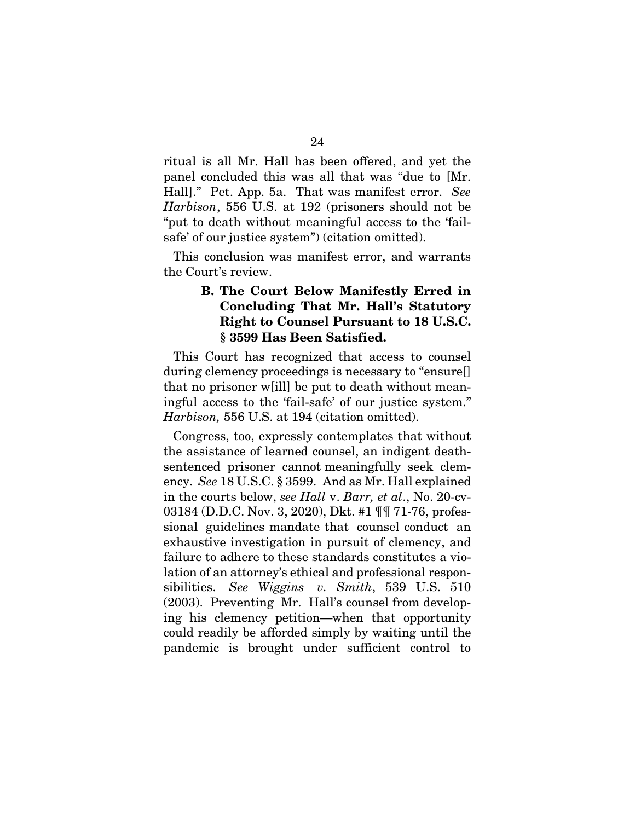ritual is all Mr. Hall has been offered, and yet the panel concluded this was all that was "due to [Mr. Hall]." Pet. App. 5a. That was manifest error. *See Harbison*, 556 U.S. at 192 (prisoners should not be "put to death without meaningful access to the 'failsafe' of our justice system") (citation omitted).

This conclusion was manifest error, and warrants the Court's review.

## B. The Court Below Manifestly Erred in Concluding That Mr. Hall's Statutory Right to Counsel Pursuant to 18 U.S.C. § 3599 Has Been Satisfied.

This Court has recognized that access to counsel during clemency proceedings is necessary to "ensure[] that no prisoner w[ill] be put to death without meaningful access to the 'fail-safe' of our justice system." *Harbison,* 556 U.S. at 194 (citation omitted).

Congress, too, expressly contemplates that without the assistance of learned counsel, an indigent deathsentenced prisoner cannot meaningfully seek clemency. *See* 18 U.S.C. § 3599. And as Mr. Hall explained in the courts below, *see Hall* v. *Barr, et al*., No. 20-cv-03184 (D.D.C. Nov. 3, 2020), Dkt. #1 ¶¶ 71-76, professional guidelines mandate that counsel conduct an exhaustive investigation in pursuit of clemency, and failure to adhere to these standards constitutes a violation of an attorney's ethical and professional responsibilities. *See Wiggins v. Smith*, 539 U.S. 510 (2003). Preventing Mr. Hall's counsel from developing his clemency petition—when that opportunity could readily be afforded simply by waiting until the pandemic is brought under sufficient control to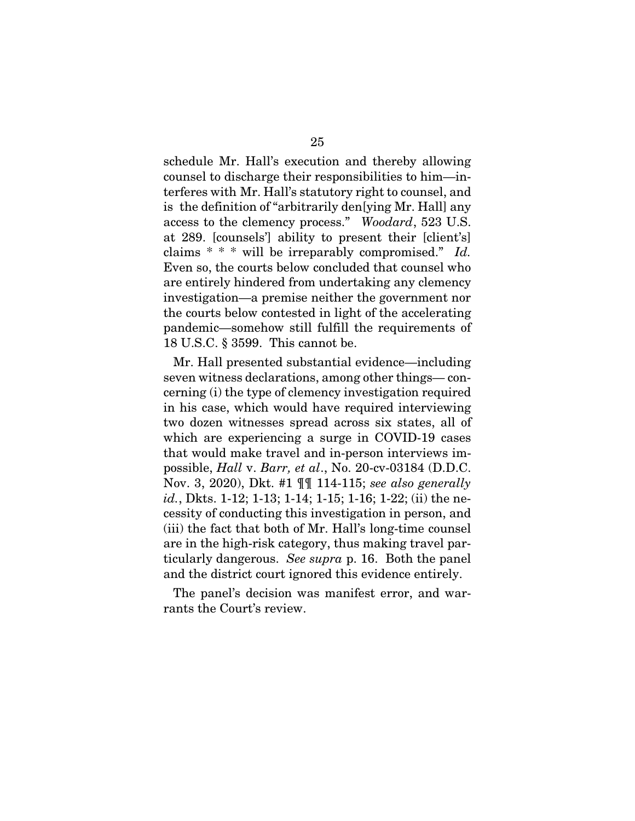schedule Mr. Hall's execution and thereby allowing counsel to discharge their responsibilities to him—interferes with Mr. Hall's statutory right to counsel, and is the definition of "arbitrarily den[ying Mr. Hall] any access to the clemency process." *Woodard*, 523 U.S. at 289. [counsels'] ability to present their [client's] claims \* \* \* will be irreparably compromised." *Id.* Even so, the courts below concluded that counsel who are entirely hindered from undertaking any clemency investigation—a premise neither the government nor the courts below contested in light of the accelerating pandemic—somehow still fulfill the requirements of 18 U.S.C. § 3599. This cannot be.

Mr. Hall presented substantial evidence—including seven witness declarations, among other things— concerning (i) the type of clemency investigation required in his case, which would have required interviewing two dozen witnesses spread across six states, all of which are experiencing a surge in COVID-19 cases that would make travel and in-person interviews impossible, *Hall* v. *Barr, et al*., No. 20-cv-03184 (D.D.C. Nov. 3, 2020), Dkt. #1 ¶¶ 114-115; *see also generally id.*, Dkts. 1-12; 1-13; 1-14; 1-15; 1-16; 1-22; (ii) the necessity of conducting this investigation in person, and (iii) the fact that both of Mr. Hall's long-time counsel are in the high-risk category, thus making travel particularly dangerous. *See supra* p. 16. Both the panel and the district court ignored this evidence entirely.

The panel's decision was manifest error, and warrants the Court's review.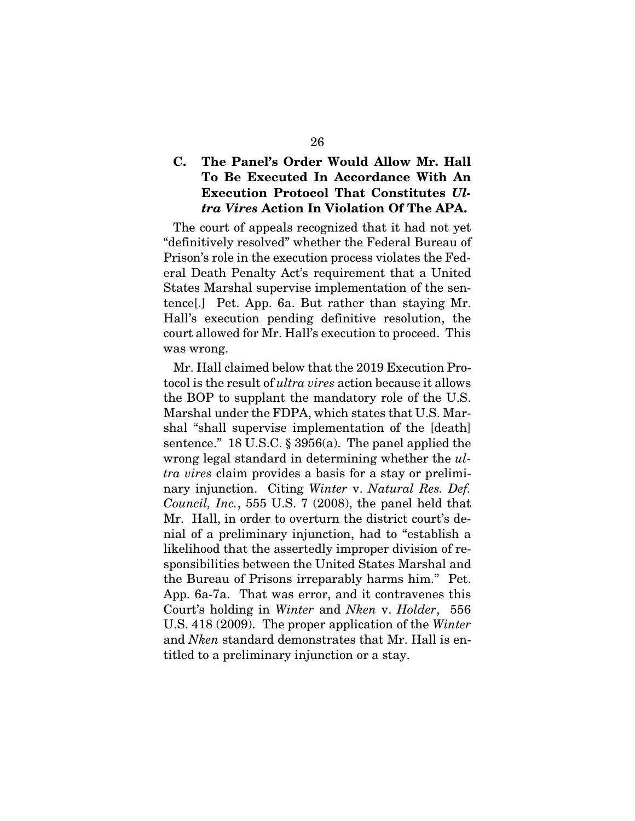## C. The Panel's Order Would Allow Mr. Hall To Be Executed In Accordance With An Execution Protocol That Constitutes *Ultra Vires* Action In Violation Of The APA.

The court of appeals recognized that it had not yet "definitively resolved" whether the Federal Bureau of Prison's role in the execution process violates the Federal Death Penalty Act's requirement that a United States Marshal supervise implementation of the sentence[.] Pet. App. 6a. But rather than staying Mr. Hall's execution pending definitive resolution, the court allowed for Mr. Hall's execution to proceed. This was wrong.

Mr. Hall claimed below that the 2019 Execution Protocol is the result of *ultra vires* action because it allows the BOP to supplant the mandatory role of the U.S. Marshal under the FDPA, which states that U.S. Marshal "shall supervise implementation of the [death] sentence." 18 U.S.C. § 3956(a). The panel applied the wrong legal standard in determining whether the *ultra vires* claim provides a basis for a stay or preliminary injunction. Citing *Winter* v. *Natural Res. Def. Council, Inc.*, 555 U.S. 7 (2008), the panel held that Mr. Hall, in order to overturn the district court's denial of a preliminary injunction, had to "establish a likelihood that the assertedly improper division of responsibilities between the United States Marshal and the Bureau of Prisons irreparably harms him." Pet. App. 6a-7a. That was error, and it contravenes this Court's holding in *Winter* and *Nken* v. *Holder*, 556 U.S. 418 (2009). The proper application of the *Winter* and *Nken* standard demonstrates that Mr. Hall is entitled to a preliminary injunction or a stay.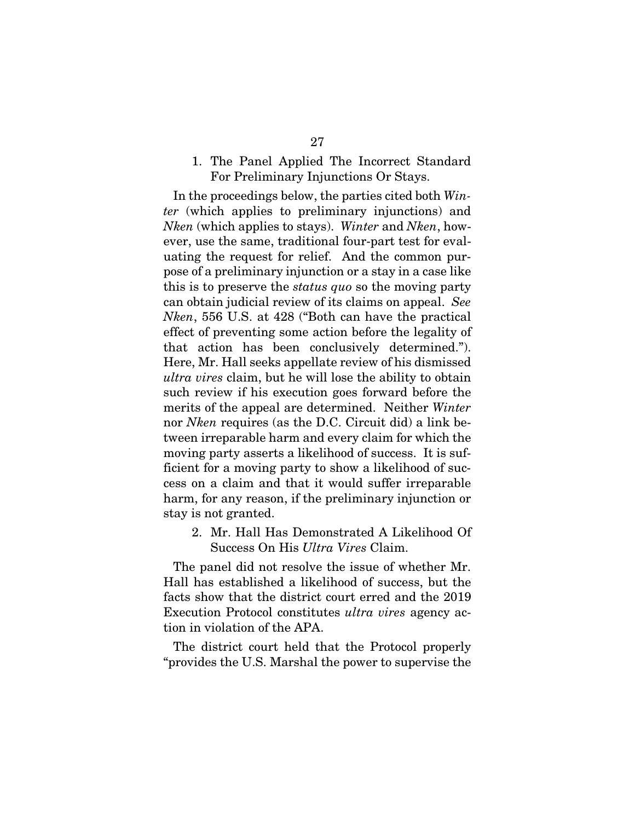### 1. The Panel Applied The Incorrect Standard For Preliminary Injunctions Or Stays.

In the proceedings below, the parties cited both *Winter* (which applies to preliminary injunctions) and *Nken* (which applies to stays). *Winter* and *Nken*, however, use the same, traditional four-part test for evaluating the request for relief. And the common purpose of a preliminary injunction or a stay in a case like this is to preserve the *status quo* so the moving party can obtain judicial review of its claims on appeal. *See Nken*, 556 U.S. at 428 ("Both can have the practical effect of preventing some action before the legality of that action has been conclusively determined."). Here, Mr. Hall seeks appellate review of his dismissed *ultra vires* claim, but he will lose the ability to obtain such review if his execution goes forward before the merits of the appeal are determined. Neither *Winter* nor *Nken* requires (as the D.C. Circuit did) a link between irreparable harm and every claim for which the moving party asserts a likelihood of success. It is sufficient for a moving party to show a likelihood of success on a claim and that it would suffer irreparable harm, for any reason, if the preliminary injunction or stay is not granted.

2. Mr. Hall Has Demonstrated A Likelihood Of Success On His *Ultra Vires* Claim.

The panel did not resolve the issue of whether Mr. Hall has established a likelihood of success, but the facts show that the district court erred and the 2019 Execution Protocol constitutes *ultra vires* agency action in violation of the APA.

The district court held that the Protocol properly "provides the U.S. Marshal the power to supervise the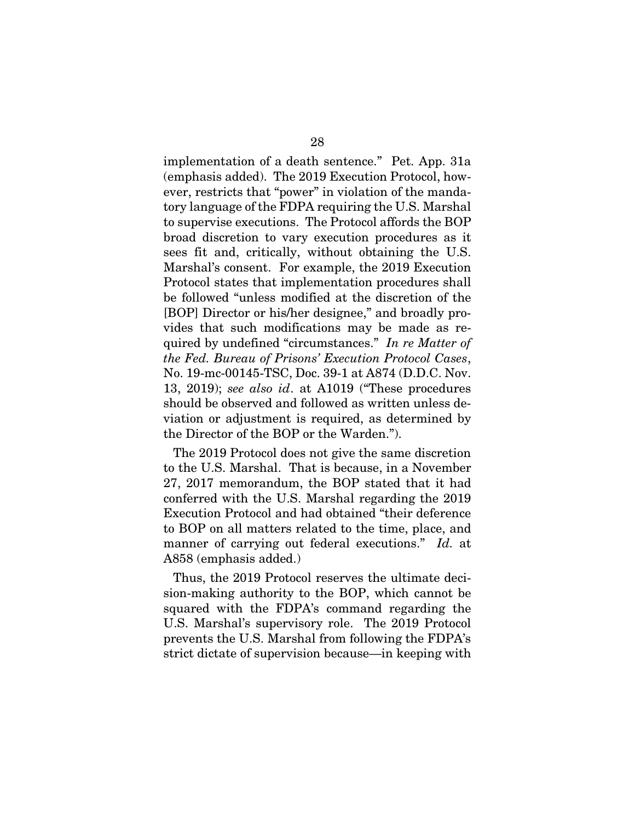implementation of a death sentence." Pet. App. 31a (emphasis added). The 2019 Execution Protocol, however, restricts that "power" in violation of the mandatory language of the FDPA requiring the U.S. Marshal to supervise executions. The Protocol affords the BOP broad discretion to vary execution procedures as it sees fit and, critically, without obtaining the U.S. Marshal's consent. For example, the 2019 Execution Protocol states that implementation procedures shall be followed "unless modified at the discretion of the [BOP] Director or his/her designee," and broadly provides that such modifications may be made as required by undefined "circumstances." *In re Matter of the Fed. Bureau of Prisons' Execution Protocol Cases*, No. 19-mc-00145-TSC, Doc. 39-1 at A874 (D.D.C. Nov. 13, 2019); *see also id*. at A1019 ("These procedures should be observed and followed as written unless deviation or adjustment is required, as determined by the Director of the BOP or the Warden.").

The 2019 Protocol does not give the same discretion to the U.S. Marshal. That is because, in a November 27, 2017 memorandum, the BOP stated that it had conferred with the U.S. Marshal regarding the 2019 Execution Protocol and had obtained "their deference to BOP on all matters related to the time, place, and manner of carrying out federal executions." *Id.* at A858 (emphasis added.)

Thus, the 2019 Protocol reserves the ultimate decision-making authority to the BOP, which cannot be squared with the FDPA's command regarding the U.S. Marshal's supervisory role. The 2019 Protocol prevents the U.S. Marshal from following the FDPA's strict dictate of supervision because—in keeping with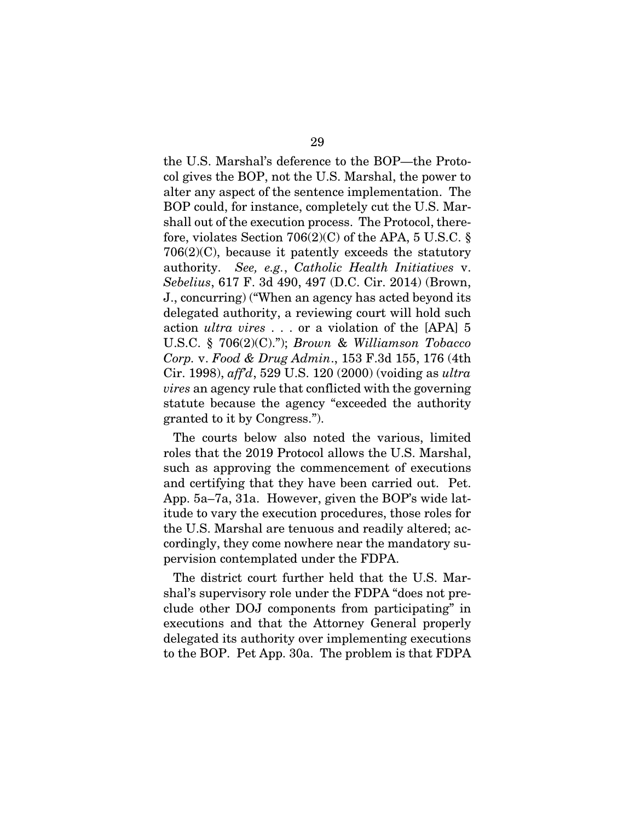the U.S. Marshal's deference to the BOP—the Protocol gives the BOP, not the U.S. Marshal, the power to alter any aspect of the sentence implementation. The BOP could, for instance, completely cut the U.S. Marshall out of the execution process. The Protocol, therefore, violates Section  $706(2)(C)$  of the APA, 5 U.S.C. § 706(2)(C), because it patently exceeds the statutory authority. *See, e.g.*, *Catholic Health Initiatives* v. *Sebelius*, 617 F. 3d 490, 497 (D.C. Cir. 2014) (Brown, J., concurring) ("When an agency has acted beyond its delegated authority, a reviewing court will hold such action *ultra vires* . . . or a violation of the [APA] 5 U.S.C. § 706(2)(C)."); *Brown* & *Williamson Tobacco Corp.* v. *Food & Drug Admin*., 153 F.3d 155, 176 (4th Cir. 1998), *aff'd*, 529 U.S. 120 (2000) (voiding as *ultra vires* an agency rule that conflicted with the governing statute because the agency "exceeded the authority granted to it by Congress.").

The courts below also noted the various, limited roles that the 2019 Protocol allows the U.S. Marshal, such as approving the commencement of executions and certifying that they have been carried out. Pet. App. 5a–7a, 31a. However, given the BOP's wide latitude to vary the execution procedures, those roles for the U.S. Marshal are tenuous and readily altered; accordingly, they come nowhere near the mandatory supervision contemplated under the FDPA.

The district court further held that the U.S. Marshal's supervisory role under the FDPA "does not preclude other DOJ components from participating" in executions and that the Attorney General properly delegated its authority over implementing executions to the BOP. Pet App. 30a. The problem is that FDPA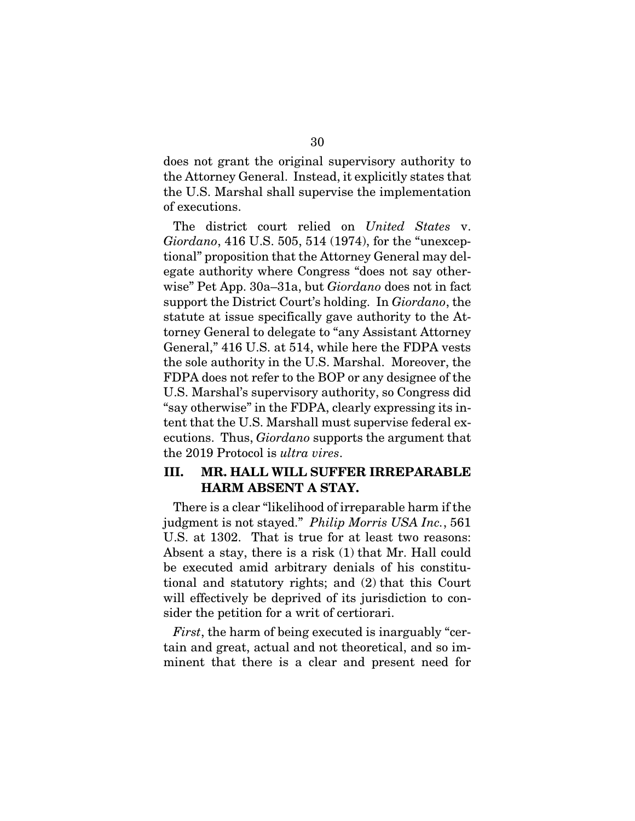does not grant the original supervisory authority to the Attorney General. Instead, it explicitly states that the U.S. Marshal shall supervise the implementation of executions.

The district court relied on *United States* v. *Giordano*, 416 U.S. 505, 514 (1974), for the "unexceptional" proposition that the Attorney General may delegate authority where Congress "does not say otherwise" Pet App. 30a–31a, but *Giordano* does not in fact support the District Court's holding. In *Giordano*, the statute at issue specifically gave authority to the Attorney General to delegate to "any Assistant Attorney General," 416 U.S. at 514, while here the FDPA vests the sole authority in the U.S. Marshal. Moreover, the FDPA does not refer to the BOP or any designee of the U.S. Marshal's supervisory authority, so Congress did "say otherwise" in the FDPA, clearly expressing its intent that the U.S. Marshall must supervise federal executions. Thus, *Giordano* supports the argument that the 2019 Protocol is *ultra vires*.

## III. MR. HALL WILL SUFFER IRREPARABLE HARM ABSENT A STAY.

There is a clear "likelihood of irreparable harm if the judgment is not stayed." *Philip Morris USA Inc.*, 561 U.S. at 1302. That is true for at least two reasons: Absent a stay, there is a risk (1) that Mr. Hall could be executed amid arbitrary denials of his constitutional and statutory rights; and (2) that this Court will effectively be deprived of its jurisdiction to consider the petition for a writ of certiorari.

*First*, the harm of being executed is inarguably "certain and great, actual and not theoretical, and so imminent that there is a clear and present need for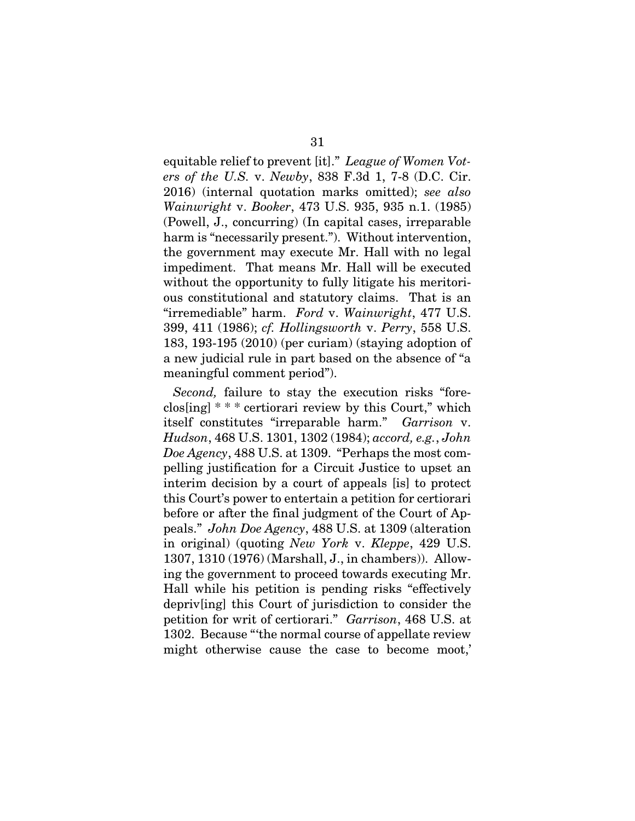31 equitable relief to prevent [it]." *League of Women Vot-*

*ers of the U.S.* v. *Newby*, 838 F.3d 1, 7-8 (D.C. Cir. 2016) (internal quotation marks omitted); *see also Wainwright* v. *Booker*, 473 U.S. 935, 935 n.1. (1985) (Powell, J., concurring) (In capital cases, irreparable harm is "necessarily present."). Without intervention, the government may execute Mr. Hall with no legal impediment. That means Mr. Hall will be executed without the opportunity to fully litigate his meritorious constitutional and statutory claims. That is an "irremediable" harm. *Ford* v. *Wainwright*, 477 U.S. 399, 411 (1986); *cf. Hollingsworth* v. *Perry*, 558 U.S. 183, 193-195 (2010) (per curiam) (staying adoption of a new judicial rule in part based on the absence of "a meaningful comment period").

*Second,* failure to stay the execution risks "foreclos[ing] \* \* \* certiorari review by this Court," which itself constitutes "irreparable harm." *Garrison* v. *Hudson*, 468 U.S. 1301, 1302 (1984); *accord, e.g.*, *John Doe Agency*, 488 U.S. at 1309. "Perhaps the most compelling justification for a Circuit Justice to upset an interim decision by a court of appeals [is] to protect this Court's power to entertain a petition for certiorari before or after the final judgment of the Court of Appeals." *John Doe Agency*, 488 U.S. at 1309 (alteration in original) (quoting *New York* v. *Kleppe*, 429 U.S. 1307, 1310 (1976) (Marshall, J., in chambers)). Allowing the government to proceed towards executing Mr. Hall while his petition is pending risks "effectively depriv[ing] this Court of jurisdiction to consider the petition for writ of certiorari." *Garrison*, 468 U.S. at 1302. Because "'the normal course of appellate review might otherwise cause the case to become moot,'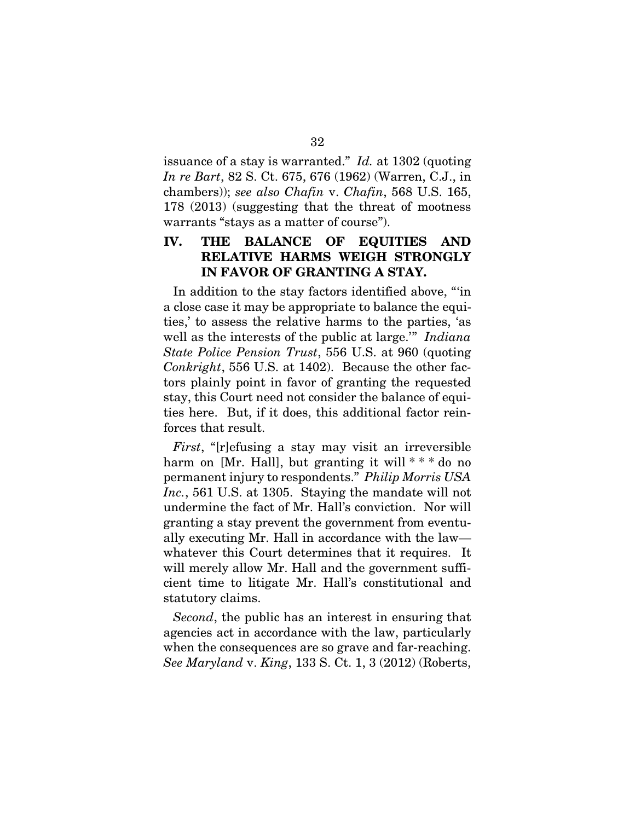issuance of a stay is warranted." *Id.* at 1302 (quoting *In re Bart*, 82 S. Ct. 675, 676 (1962) (Warren, C.J., in chambers)); *see also Chafin* v. *Chafin*, 568 U.S. 165, 178 (2013) (suggesting that the threat of mootness warrants "stays as a matter of course").

## IV. THE BALANCE OF EQUITIES AND RELATIVE HARMS WEIGH STRONGLY IN FAVOR OF GRANTING A STAY.

In addition to the stay factors identified above, "'in a close case it may be appropriate to balance the equities,' to assess the relative harms to the parties, 'as well as the interests of the public at large.'" *Indiana State Police Pension Trust*, 556 U.S. at 960 (quoting *Conkright*, 556 U.S. at 1402). Because the other factors plainly point in favor of granting the requested stay, this Court need not consider the balance of equities here. But, if it does, this additional factor reinforces that result.

*First*, "[r]efusing a stay may visit an irreversible harm on [Mr. Hall], but granting it will  $***$  do no permanent injury to respondents." *Philip Morris USA Inc.*, 561 U.S. at 1305. Staying the mandate will not undermine the fact of Mr. Hall's conviction. Nor will granting a stay prevent the government from eventually executing Mr. Hall in accordance with the law whatever this Court determines that it requires. It will merely allow Mr. Hall and the government sufficient time to litigate Mr. Hall's constitutional and statutory claims.

*Second*, the public has an interest in ensuring that agencies act in accordance with the law, particularly when the consequences are so grave and far-reaching. *See Maryland* v. *King*, 133 S. Ct. 1, 3 (2012) (Roberts,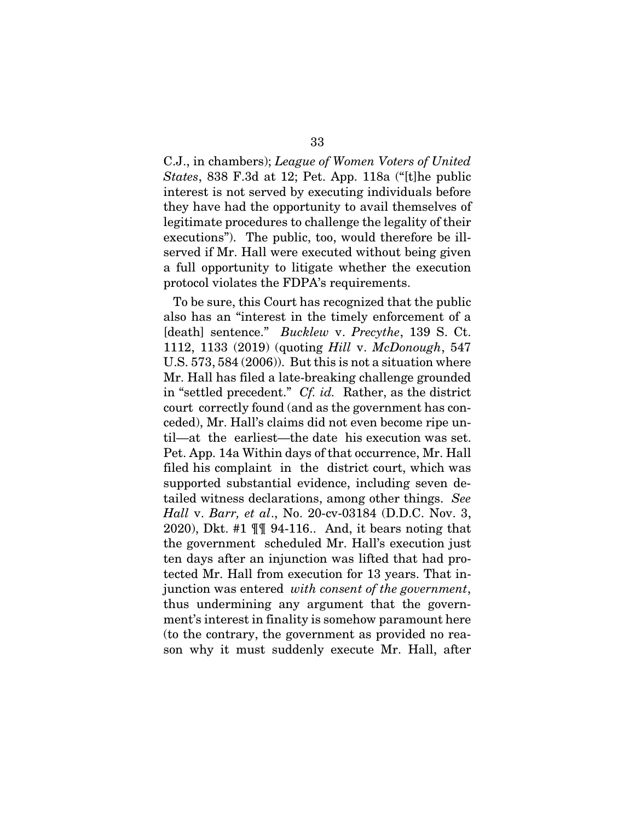C.J., in chambers); *League of Women Voters of United States*, 838 F.3d at 12; Pet. App. 118a ("[t]he public interest is not served by executing individuals before they have had the opportunity to avail themselves of legitimate procedures to challenge the legality of their executions"). The public, too, would therefore be illserved if Mr. Hall were executed without being given a full opportunity to litigate whether the execution protocol violates the FDPA's requirements.

To be sure, this Court has recognized that the public also has an "interest in the timely enforcement of a [death] sentence." *Bucklew* v. *Precythe*, 139 S. Ct. 1112, 1133 (2019) (quoting *Hill* v. *McDonough*, 547 U.S. 573, 584 (2006)). But this is not a situation where Mr. Hall has filed a late-breaking challenge grounded in "settled precedent." *Cf. id.* Rather, as the district court correctly found (and as the government has conceded), Mr. Hall's claims did not even become ripe until—at the earliest—the date his execution was set. Pet. App. 14a Within days of that occurrence, Mr. Hall filed his complaint in the district court, which was supported substantial evidence, including seven detailed witness declarations, among other things. *See Hall* v. *Barr, et al*., No. 20-cv-03184 (D.D.C. Nov. 3, 2020), Dkt. #1 ¶¶ 94-116.. And, it bears noting that the government scheduled Mr. Hall's execution just ten days after an injunction was lifted that had protected Mr. Hall from execution for 13 years. That injunction was entered *with consent of the government*, thus undermining any argument that the government's interest in finality is somehow paramount here (to the contrary, the government as provided no reason why it must suddenly execute Mr. Hall, after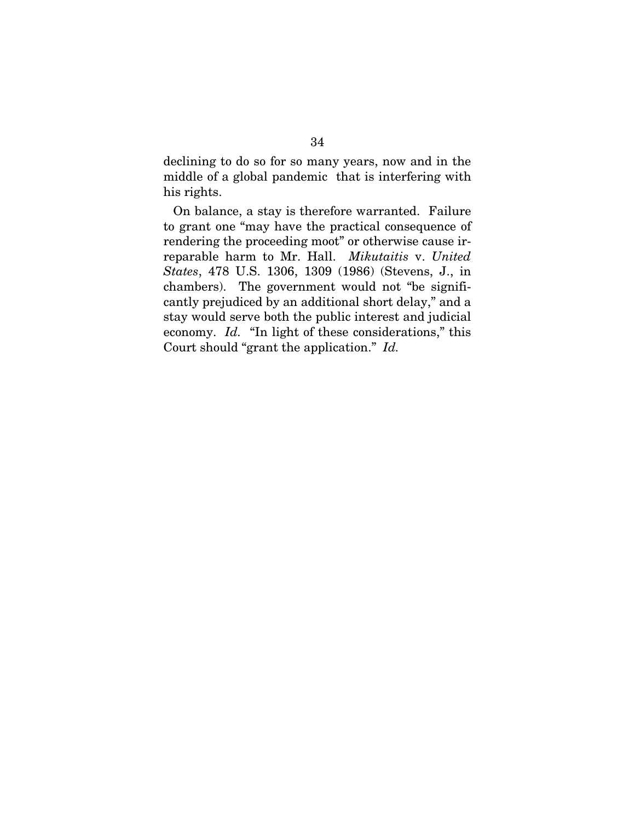declining to do so for so many years, now and in the middle of a global pandemic that is interfering with his rights.

On balance, a stay is therefore warranted. Failure to grant one "may have the practical consequence of rendering the proceeding moot" or otherwise cause irreparable harm to Mr. Hall. *Mikutaitis* v. *United States*, 478 U.S. 1306, 1309 (1986) (Stevens, J., in chambers). The government would not "be significantly prejudiced by an additional short delay," and a stay would serve both the public interest and judicial economy. *Id.* "In light of these considerations," this Court should "grant the application." *Id.*